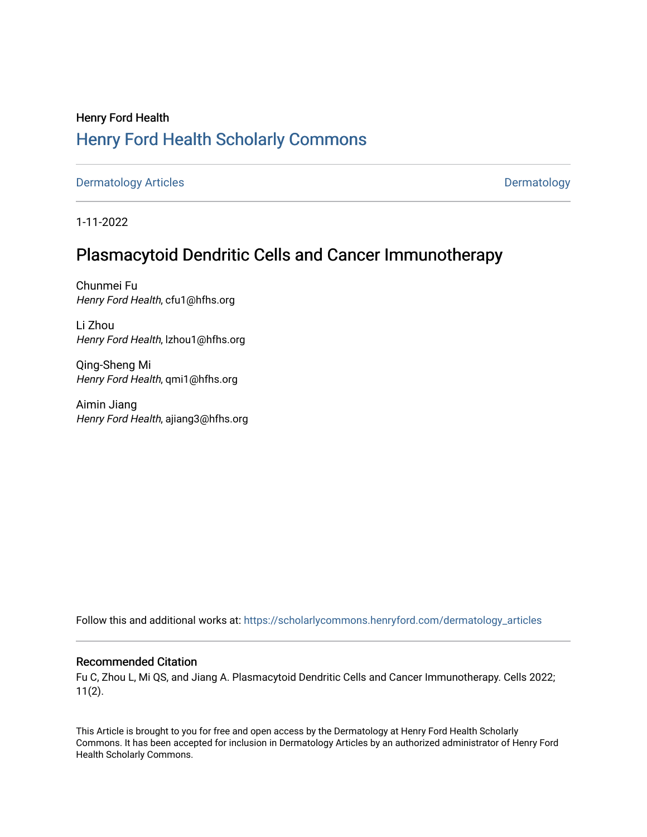# Henry Ford Health [Henry Ford Health Scholarly Commons](https://scholarlycommons.henryford.com/)

[Dermatology Articles](https://scholarlycommons.henryford.com/dermatology_articles) **Dermatology** 

1-11-2022

## Plasmacytoid Dendritic Cells and Cancer Immunotherapy

Chunmei Fu Henry Ford Health, cfu1@hfhs.org

Li Zhou Henry Ford Health, lzhou1@hfhs.org

Qing-Sheng Mi Henry Ford Health, qmi1@hfhs.org

Aimin Jiang Henry Ford Health, ajiang3@hfhs.org

Follow this and additional works at: [https://scholarlycommons.henryford.com/dermatology\\_articles](https://scholarlycommons.henryford.com/dermatology_articles?utm_source=scholarlycommons.henryford.com%2Fdermatology_articles%2F649&utm_medium=PDF&utm_campaign=PDFCoverPages)

## Recommended Citation

Fu C, Zhou L, Mi QS, and Jiang A. Plasmacytoid Dendritic Cells and Cancer Immunotherapy. Cells 2022; 11(2).

This Article is brought to you for free and open access by the Dermatology at Henry Ford Health Scholarly Commons. It has been accepted for inclusion in Dermatology Articles by an authorized administrator of Henry Ford Health Scholarly Commons.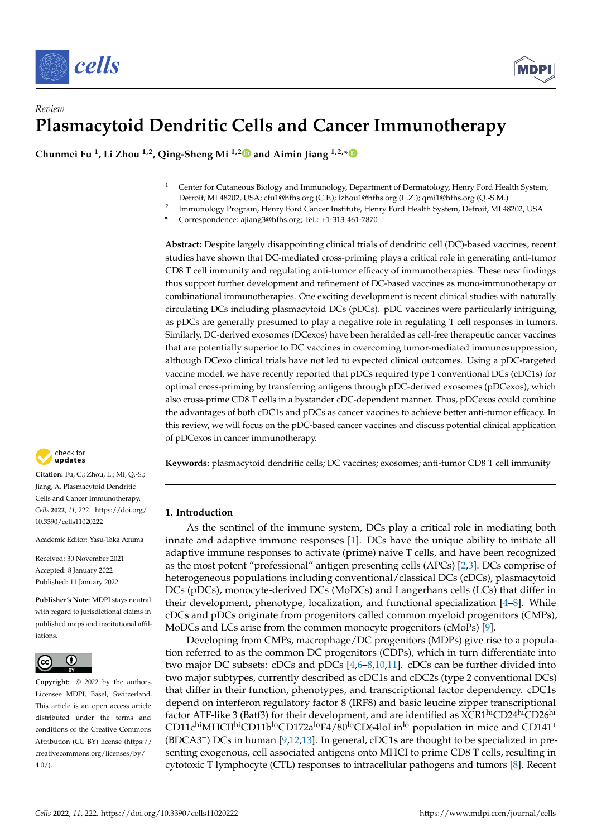



## *Review* **Plasmacytoid Dendritic Cells and Cancer Immunotherapy**

**Chunmei Fu <sup>1</sup> , Li Zhou 1,2, Qing-Sheng Mi 1,[2](https://orcid.org/0000-0002-1411-6827) and Aimin Jiang 1,2,[\\*](https://orcid.org/0000-0001-9161-5729)**

- <sup>1</sup> Center for Cutaneous Biology and Immunology, Department of Dermatology, Henry Ford Health System, Detroit, MI 48202, USA; cfu1@hfhs.org (C.F.); lzhou1@hfhs.org (L.Z.); qmi1@hfhs.org (Q.-S.M.)
- 2 Immunology Program, Henry Ford Cancer Institute, Henry Ford Health System, Detroit, MI 48202, USA
	- **\*** Correspondence: ajiang3@hfhs.org; Tel.: +1-313-461-7870

**Abstract:** Despite largely disappointing clinical trials of dendritic cell (DC)-based vaccines, recent studies have shown that DC-mediated cross-priming plays a critical role in generating anti-tumor CD8 T cell immunity and regulating anti-tumor efficacy of immunotherapies. These new findings thus support further development and refinement of DC-based vaccines as mono-immunotherapy or combinational immunotherapies. One exciting development is recent clinical studies with naturally circulating DCs including plasmacytoid DCs (pDCs). pDC vaccines were particularly intriguing, as pDCs are generally presumed to play a negative role in regulating T cell responses in tumors. Similarly, DC-derived exosomes (DCexos) have been heralded as cell-free therapeutic cancer vaccines that are potentially superior to DC vaccines in overcoming tumor-mediated immunosuppression, although DCexo clinical trials have not led to expected clinical outcomes. Using a pDC-targeted vaccine model, we have recently reported that pDCs required type 1 conventional DCs (cDC1s) for optimal cross-priming by transferring antigens through pDC-derived exosomes (pDCexos), which also cross-prime CD8 T cells in a bystander cDC-dependent manner. Thus, pDCexos could combine the advantages of both cDC1s and pDCs as cancer vaccines to achieve better anti-tumor efficacy. In this review, we will focus on the pDC-based cancer vaccines and discuss potential clinical application of pDCexos in cancer immunotherapy.

**Keywords:** plasmacytoid dendritic cells; DC vaccines; exosomes; anti-tumor CD8 T cell immunity

## **1. Introduction**

As the sentinel of the immune system, DCs play a critical role in mediating both innate and adaptive immune responses [\[1\]](#page-10-0). DCs have the unique ability to initiate all adaptive immune responses to activate (prime) naive T cells, and have been recognized as the most potent "professional" antigen presenting cells (APCs) [\[2,](#page-10-1)[3\]](#page-10-2). DCs comprise of heterogeneous populations including conventional/classical DCs (cDCs), plasmacytoid DCs (pDCs), monocyte-derived DCs (MoDCs) and Langerhans cells (LCs) that differ in their development, phenotype, localization, and functional specialization [\[4](#page-10-3)[–8\]](#page-10-4). While cDCs and pDCs originate from progenitors called common myeloid progenitors (CMPs), MoDCs and LCs arise from the common monocyte progenitors (cMoPs) [\[9\]](#page-10-5).

Developing from CMPs, macrophage/DC progenitors (MDPs) give rise to a population referred to as the common DC progenitors (CDPs), which in turn differentiate into two major DC subsets: cDCs and pDCs [\[4,](#page-10-3)[6–](#page-10-6)[8,](#page-10-4)[10,](#page-10-7)[11\]](#page-10-8). cDCs can be further divided into two major subtypes, currently described as cDC1s and cDC2s (type 2 conventional DCs) that differ in their function, phenotypes, and transcriptional factor dependency. cDC1s depend on interferon regulatory factor 8 (IRF8) and basic leucine zipper transcriptional factor ATF-like 3 (Batf3) for their development, and are identified as  $XCR1^{hi}CD24^{hi}CD26^{hi}$ CD11chiMHCIIhiCD11bloCD172aloF4/80loCD64loLinlo population in mice and CD141<sup>+</sup> (BDCA3<sup>+</sup> ) DCs in human [\[9](#page-10-5)[,12,](#page-10-9)[13\]](#page-10-10). In general, cDC1s are thought to be specialized in presenting exogenous, cell associated antigens onto MHCI to prime CD8 T cells, resulting in cytotoxic T lymphocyte (CTL) responses to intracellular pathogens and tumors [\[8\]](#page-10-4). Recent



**Citation:** Fu, C.; Zhou, L.; Mi, Q.-S.; Jiang, A. Plasmacytoid Dendritic Cells and Cancer Immunotherapy. *Cells* **2022**, *11*, 222. [https://doi.org/](https://doi.org/10.3390/cells11020222) [10.3390/cells11020222](https://doi.org/10.3390/cells11020222)

Academic Editor: Yasu-Taka Azuma

Received: 30 November 2021 Accepted: 8 January 2022 Published: 11 January 2022

**Publisher's Note:** MDPI stays neutral with regard to jurisdictional claims in published maps and institutional affiliations.



**Copyright:** © 2022 by the authors. Licensee MDPI, Basel, Switzerland. This article is an open access article distributed under the terms and conditions of the Creative Commons Attribution (CC BY) license [\(https://](https://creativecommons.org/licenses/by/4.0/) [creativecommons.org/licenses/by/](https://creativecommons.org/licenses/by/4.0/)  $4.0/$ ).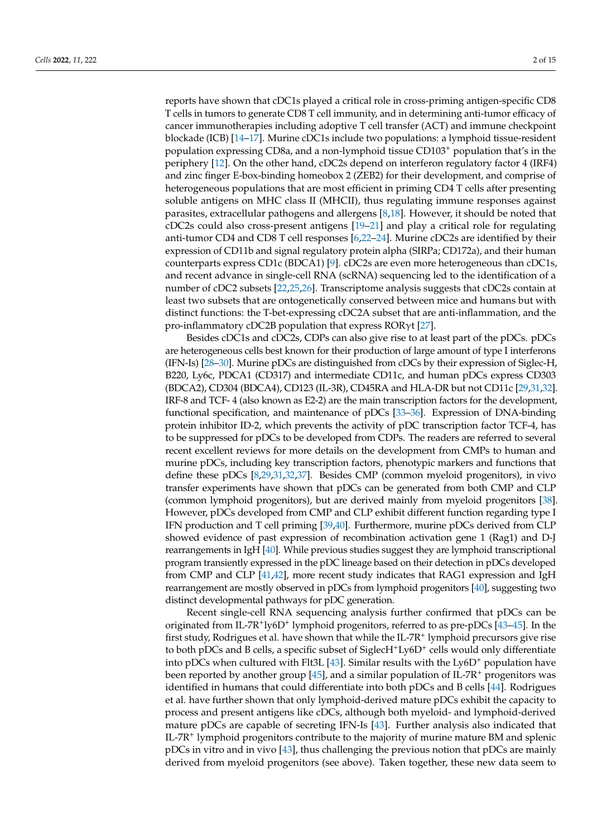reports have shown that cDC1s played a critical role in cross-priming antigen-specific CD8 T cells in tumors to generate CD8 T cell immunity, and in determining anti-tumor efficacy of cancer immunotherapies including adoptive T cell transfer (ACT) and immune checkpoint blockade (ICB) [\[14–](#page-10-11)[17\]](#page-11-0). Murine cDC1s include two populations: a lymphoid tissue-resident population expressing CD8a, and a non-lymphoid tissue CD103<sup>+</sup> population that's in the periphery [\[12\]](#page-10-9). On the other hand, cDC2s depend on interferon regulatory factor 4 (IRF4) and zinc finger E-box-binding homeobox 2 (ZEB2) for their development, and comprise of heterogeneous populations that are most efficient in priming CD4 T cells after presenting soluble antigens on MHC class II (MHCII), thus regulating immune responses against parasites, extracellular pathogens and allergens [\[8,](#page-10-4)[18\]](#page-11-1). However, it should be noted that cDC2s could also cross-present antigens [\[19–](#page-11-2)[21\]](#page-11-3) and play a critical role for regulating anti-tumor CD4 and CD8 T cell responses [\[6,](#page-10-6)[22–](#page-11-4)[24\]](#page-11-5). Murine cDC2s are identified by their expression of CD11b and signal regulatory protein alpha (SIRPa; CD172a), and their human counterparts express CD1c (BDCA1) [\[9\]](#page-10-5). cDC2s are even more heterogeneous than cDC1s, and recent advance in single-cell RNA (scRNA) sequencing led to the identification of a number of cDC2 subsets [\[22](#page-11-4)[,25,](#page-11-6)[26\]](#page-11-7). Transcriptome analysis suggests that cDC2s contain at least two subsets that are ontogenetically conserved between mice and humans but with distinct functions: the T-bet-expressing cDC2A subset that are anti-inflammation, and the pro-inflammatory cDC2B population that express ROR $\gamma$ t [\[27\]](#page-11-8).

Besides cDC1s and cDC2s, CDPs can also give rise to at least part of the pDCs. pDCs are heterogeneous cells best known for their production of large amount of type I interferons (IFN-Is) [\[28](#page-11-9)[–30\]](#page-11-10). Murine pDCs are distinguished from cDCs by their expression of Siglec-H, B220, Ly6c, PDCA1 (CD317) and intermediate CD11c, and human pDCs express CD303 (BDCA2), CD304 (BDCA4), CD123 (IL-3R), CD45RA and HLA-DR but not CD11c [\[29](#page-11-11)[,31](#page-11-12)[,32\]](#page-11-13). IRF-8 and TCF- 4 (also known as E2-2) are the main transcription factors for the development, functional specification, and maintenance of pDCs [\[33–](#page-11-14)[36\]](#page-11-15). Expression of DNA-binding protein inhibitor ID-2, which prevents the activity of pDC transcription factor TCF-4, has to be suppressed for pDCs to be developed from CDPs. The readers are referred to several recent excellent reviews for more details on the development from CMPs to human and murine pDCs, including key transcription factors, phenotypic markers and functions that define these pDCs [\[8](#page-10-4)[,29,](#page-11-11)[31,](#page-11-12)[32,](#page-11-13)[37\]](#page-11-16). Besides CMP (common myeloid progenitors), in vivo transfer experiments have shown that pDCs can be generated from both CMP and CLP (common lymphoid progenitors), but are derived mainly from myeloid progenitors [\[38\]](#page-11-17). However, pDCs developed from CMP and CLP exhibit different function regarding type I IFN production and T cell priming [\[39,](#page-11-18)[40\]](#page-12-0). Furthermore, murine pDCs derived from CLP showed evidence of past expression of recombination activation gene 1 (Rag1) and D-J rearrangements in IgH [\[40\]](#page-12-0). While previous studies suggest they are lymphoid transcriptional program transiently expressed in the pDC lineage based on their detection in pDCs developed from CMP and CLP [\[41](#page-12-1)[,42\]](#page-12-2), more recent study indicates that RAG1 expression and IgH rearrangement are mostly observed in pDCs from lymphoid progenitors [\[40\]](#page-12-0), suggesting two distinct developmental pathways for pDC generation.

Recent single-cell RNA sequencing analysis further confirmed that pDCs can be originated from IL-7R<sup>+</sup>ly6D<sup>+</sup> lymphoid progenitors, referred to as pre-pDCs [43-[45\]](#page-12-4). In the first study, Rodrigues et al. have shown that while the IL-7R<sup>+</sup> lymphoid precursors give rise to both pDCs and B cells, a specific subset of SiglecH<sup>+</sup>Ly6D<sup>+</sup> cells would only differentiate into pDCs when cultured with Flt3L [\[43\]](#page-12-3). Similar results with the Ly6D<sup>+</sup> population have been reported by another group  $[45]$ , and a similar population of IL-7R<sup>+</sup> progenitors was identified in humans that could differentiate into both pDCs and B cells [\[44\]](#page-12-5). Rodrigues et al. have further shown that only lymphoid-derived mature pDCs exhibit the capacity to process and present antigens like cDCs, although both myeloid- and lymphoid-derived mature pDCs are capable of secreting IFN-Is [\[43\]](#page-12-3). Further analysis also indicated that IL-7R<sup>+</sup> lymphoid progenitors contribute to the majority of murine mature BM and splenic pDCs in vitro and in vivo [\[43\]](#page-12-3), thus challenging the previous notion that pDCs are mainly derived from myeloid progenitors (see above). Taken together, these new data seem to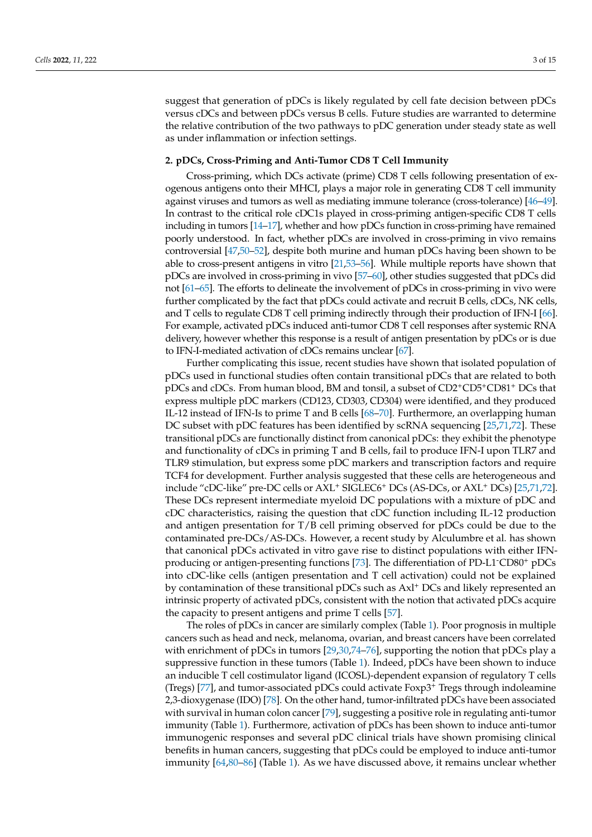suggest that generation of pDCs is likely regulated by cell fate decision between pDCs versus cDCs and between pDCs versus B cells. Future studies are warranted to determine the relative contribution of the two pathways to pDC generation under steady state as well as under inflammation or infection settings.

### **2. pDCs, Cross-Priming and Anti-Tumor CD8 T Cell Immunity**

Cross-priming, which DCs activate (prime) CD8 T cells following presentation of exogenous antigens onto their MHCI, plays a major role in generating CD8 T cell immunity against viruses and tumors as well as mediating immune tolerance (cross-tolerance) [\[46–](#page-12-6)[49\]](#page-12-7). In contrast to the critical role cDC1s played in cross-priming antigen-specific CD8 T cells including in tumors [\[14](#page-10-11)[–17\]](#page-11-0), whether and how pDCs function in cross-priming have remained poorly understood. In fact, whether pDCs are involved in cross-priming in vivo remains controversial [\[47](#page-12-8)[,50–](#page-12-9)[52\]](#page-12-10), despite both murine and human pDCs having been shown to be able to cross-present antigens in vitro [\[21](#page-11-3)[,53–](#page-12-11)[56\]](#page-12-12). While multiple reports have shown that pDCs are involved in cross-priming in vivo [\[57–](#page-12-13)[60\]](#page-12-14), other studies suggested that pDCs did not [\[61–](#page-12-15)[65\]](#page-13-0). The efforts to delineate the involvement of pDCs in cross-priming in vivo were further complicated by the fact that pDCs could activate and recruit B cells, cDCs, NK cells, and T cells to regulate CD8 T cell priming indirectly through their production of IFN-I [\[66\]](#page-13-1). For example, activated pDCs induced anti-tumor CD8 T cell responses after systemic RNA delivery, however whether this response is a result of antigen presentation by pDCs or is due to IFN-I-mediated activation of cDCs remains unclear [\[67\]](#page-13-2).

Further complicating this issue, recent studies have shown that isolated population of pDCs used in functional studies often contain transitional pDCs that are related to both pDCs and cDCs. From human blood, BM and tonsil, a subset of CD2+CD5+CD81<sup>+</sup> DCs that express multiple pDC markers (CD123, CD303, CD304) were identified, and they produced IL-12 instead of IFN-Is to prime T and B cells [\[68](#page-13-3)[–70\]](#page-13-4). Furthermore, an overlapping human DC subset with pDC features has been identified by scRNA sequencing [\[25](#page-11-6)[,71](#page-13-5)[,72\]](#page-13-6). These transitional pDCs are functionally distinct from canonical pDCs: they exhibit the phenotype and functionality of cDCs in priming T and B cells, fail to produce IFN-I upon TLR7 and TLR9 stimulation, but express some pDC markers and transcription factors and require TCF4 for development. Further analysis suggested that these cells are heterogeneous and include "cDC-like" pre-DC cells or AXL<sup>+</sup> SIGLEC6<sup>+</sup> DCs (AS-DCs, or AXL<sup>+</sup> DCs) [\[25,](#page-11-6)[71](#page-13-5)[,72\]](#page-13-6). These DCs represent intermediate myeloid DC populations with a mixture of pDC and cDC characteristics, raising the question that cDC function including IL-12 production and antigen presentation for  $T/B$  cell priming observed for pDCs could be due to the contaminated pre-DCs/AS-DCs. However, a recent study by Alculumbre et al. has shown that canonical pDCs activated in vitro gave rise to distinct populations with either IFNproducing or antigen-presenting functions [\[73\]](#page-13-7). The differentiation of PD-L1-CD80<sup>+</sup> pDCs into cDC-like cells (antigen presentation and T cell activation) could not be explained by contamination of these transitional pDCs such as Axl<sup>+</sup> DCs and likely represented an intrinsic property of activated pDCs, consistent with the notion that activated pDCs acquire the capacity to present antigens and prime T cells [\[57\]](#page-12-13).

The roles of pDCs in cancer are similarly complex (Table [1\)](#page-4-0). Poor prognosis in multiple cancers such as head and neck, melanoma, ovarian, and breast cancers have been correlated with enrichment of pDCs in tumors [\[29](#page-11-11)[,30](#page-11-10)[,74](#page-13-8)-76], supporting the notion that pDCs play a suppressive function in these tumors (Table [1\)](#page-4-0). Indeed, pDCs have been shown to induce an inducible T cell costimulator ligand (ICOSL)-dependent expansion of regulatory T cells (Tregs) [\[77\]](#page-13-10), and tumor-associated pDCs could activate Foxp3<sup>+</sup> Tregs through indoleamine 2,3-dioxygenase (IDO) [\[78\]](#page-13-11). On the other hand, tumor-infiltrated pDCs have been associated with survival in human colon cancer [\[79\]](#page-13-12), suggesting a positive role in regulating anti-tumor immunity (Table [1\)](#page-4-0). Furthermore, activation of pDCs has been shown to induce anti-tumor immunogenic responses and several pDC clinical trials have shown promising clinical benefits in human cancers, suggesting that pDCs could be employed to induce anti-tumor immunity [\[64,](#page-12-16)[80–](#page-13-13)[86\]](#page-13-14) (Table [1\)](#page-4-0). As we have discussed above, it remains unclear whether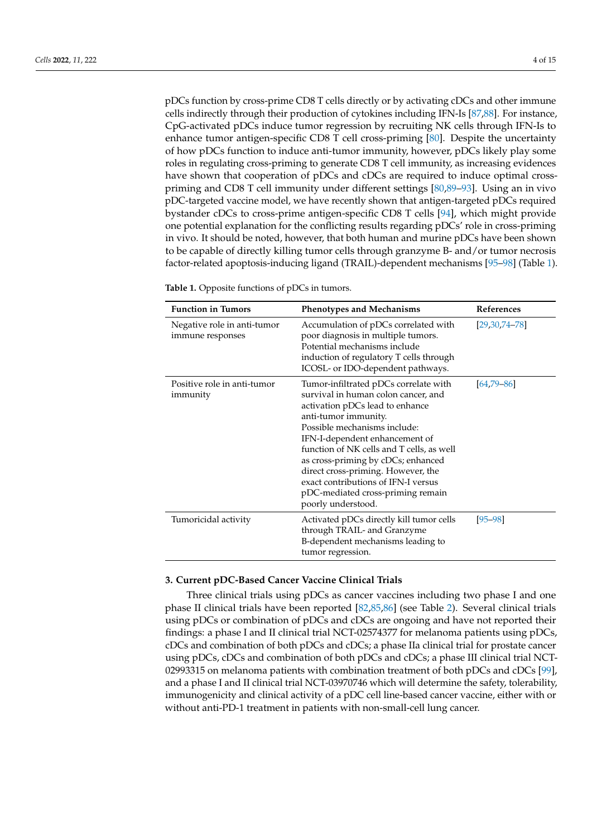pDCs function by cross-prime CD8 T cells directly or by activating cDCs and other immune cells indirectly through their production of cytokines including IFN-Is [\[87](#page-13-15)[,88\]](#page-14-0). For instance, CpG-activated pDCs induce tumor regression by recruiting NK cells through IFN-Is to enhance tumor antigen-specific CD8 T cell cross-priming [\[80\]](#page-13-13). Despite the uncertainty of how pDCs function to induce anti-tumor immunity, however, pDCs likely play some roles in regulating cross-priming to generate CD8 T cell immunity, as increasing evidences have shown that cooperation of pDCs and cDCs are required to induce optimal crosspriming and CD8 T cell immunity under different settings [\[80](#page-13-13)[,89](#page-14-1)[–93\]](#page-14-2). Using an in vivo pDC-targeted vaccine model, we have recently shown that antigen-targeted pDCs required bystander cDCs to cross-prime antigen-specific CD8 T cells [\[94\]](#page-14-3), which might provide one potential explanation for the conflicting results regarding pDCs' role in cross-priming in vivo. It should be noted, however, that both human and murine pDCs have been shown to be capable of directly killing tumor cells through granzyme B- and/or tumor necrosis factor-related apoptosis-inducing ligand (TRAIL)-dependent mechanisms [\[95](#page-14-4)[–98\]](#page-14-5) (Table [1\)](#page-4-0).

<span id="page-4-0"></span>

| Table 1. Opposite functions of pDCs in tumors. |  |  |  |
|------------------------------------------------|--|--|--|
|------------------------------------------------|--|--|--|

| <b>Function in Tumors</b>                       | <b>Phenotypes and Mechanisms</b>                                                                                                                                                                                                                                                                                                                                                                                                     | References          |  |
|-------------------------------------------------|--------------------------------------------------------------------------------------------------------------------------------------------------------------------------------------------------------------------------------------------------------------------------------------------------------------------------------------------------------------------------------------------------------------------------------------|---------------------|--|
| Negative role in anti-tumor<br>immune responses | Accumulation of pDCs correlated with<br>poor diagnosis in multiple tumors.<br>Potential mechanisms include<br>induction of regulatory T cells through<br>ICOSL- or IDO-dependent pathways.                                                                                                                                                                                                                                           | $[29, 30, 74, -78]$ |  |
| Positive role in anti-tumor<br>immunity         | Tumor-infiltrated pDCs correlate with<br>survival in human colon cancer, and<br>activation pDCs lead to enhance<br>anti-tumor immunity.<br>Possible mechanisms include:<br>IFN-I-dependent enhancement of<br>function of NK cells and T cells, as well<br>as cross-priming by cDCs; enhanced<br>direct cross-priming. However, the<br>exact contributions of IFN-I versus<br>pDC-mediated cross-priming remain<br>poorly understood. | $[64, 79 - 86]$     |  |
| Tumoricidal activity                            | Activated pDCs directly kill tumor cells<br>through TRAIL- and Granzyme<br>B-dependent mechanisms leading to<br>tumor regression.                                                                                                                                                                                                                                                                                                    | $[95 - 98]$         |  |

## **3. Current pDC-Based Cancer Vaccine Clinical Trials**

Three clinical trials using pDCs as cancer vaccines including two phase I and one phase II clinical trials have been reported [\[82,](#page-13-16)[85,](#page-13-17)[86\]](#page-13-14) (see Table [2\)](#page-5-0). Several clinical trials using pDCs or combination of pDCs and cDCs are ongoing and have not reported their findings: a phase I and II clinical trial NCT-02574377 for melanoma patients using pDCs, cDCs and combination of both pDCs and cDCs; a phase IIa clinical trial for prostate cancer using pDCs, cDCs and combination of both pDCs and cDCs; a phase III clinical trial NCT-02993315 on melanoma patients with combination treatment of both pDCs and cDCs [\[99\]](#page-14-6), and a phase I and II clinical trial NCT-03970746 which will determine the safety, tolerability, immunogenicity and clinical activity of a pDC cell line-based cancer vaccine, either with or without anti-PD-1 treatment in patients with non-small-cell lung cancer.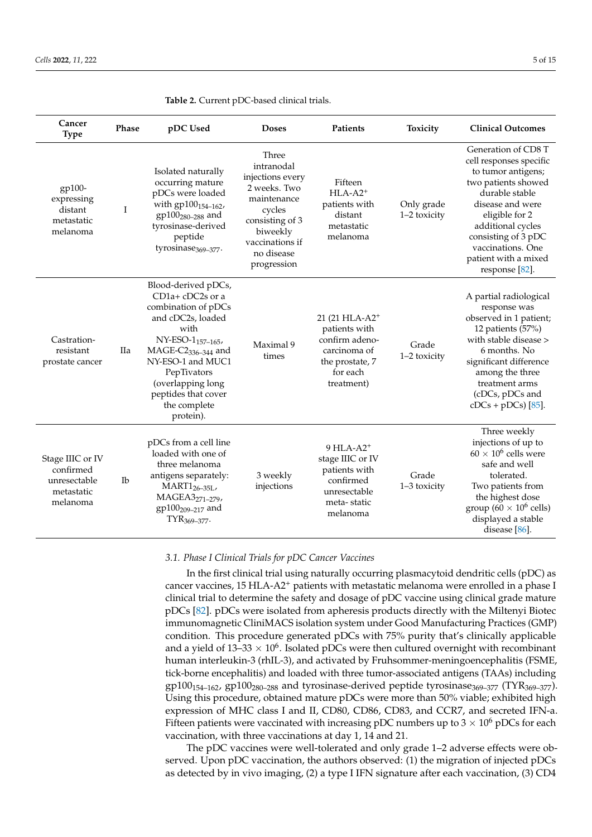| Cancer<br><b>Type</b>                                                   | Phase          | pDC Used                                                                                                                                                                                                                                                               | <b>Doses</b>                                                                                                                                                    | Patients                                                                                                                   | Toxicity                   | <b>Clinical Outcomes</b>                                                                                                                                                                                                                                       |
|-------------------------------------------------------------------------|----------------|------------------------------------------------------------------------------------------------------------------------------------------------------------------------------------------------------------------------------------------------------------------------|-----------------------------------------------------------------------------------------------------------------------------------------------------------------|----------------------------------------------------------------------------------------------------------------------------|----------------------------|----------------------------------------------------------------------------------------------------------------------------------------------------------------------------------------------------------------------------------------------------------------|
| gp100-<br>expressing<br>distant<br>metastatic<br>melanoma               | Ι              | Isolated naturally<br>occurring mature<br>pDCs were loaded<br>with gp100 <sub>154-162</sub> ,<br>$gp100_{280-288}$ and<br>tyrosinase-derived<br>peptide<br>tyrosinase <sub>369-377</sub> .                                                                             | Three<br>intranodal<br>injections every<br>2 weeks. Two<br>maintenance<br>cycles<br>consisting of 3<br>biweekly<br>vaccinations if<br>no disease<br>progression | Fifteen<br>$HLA-A2$ <sup>+</sup><br>patients with<br>distant<br>metastatic<br>melanoma                                     | Only grade<br>1–2 toxicity | Generation of CD8 T<br>cell responses specific<br>to tumor antigens;<br>two patients showed<br>durable stable<br>disease and were<br>eligible for 2<br>additional cycles<br>consisting of 3 pDC<br>vaccinations. One<br>patient with a mixed<br>response [82]. |
| Castration-<br>resistant<br>prostate cancer                             | IIa            | Blood-derived pDCs,<br>$CD1a+$ cDC2s or a<br>combination of pDCs<br>and cDC2s, loaded<br>with<br>NY-ESO-1 <sub>157-165</sub> ,<br>$MAGE-C2_{336-344}$ and<br>NY-ESO-1 and MUC1<br>PepTivators<br>(overlapping long<br>peptides that cover<br>the complete<br>protein). | Maximal 9<br>times                                                                                                                                              | 21 (21 HLA-A2 <sup>+</sup><br>patients with<br>confirm adeno-<br>carcinoma of<br>the prostate, 7<br>for each<br>treatment) | Grade<br>1-2 toxicity      | A partial radiological<br>response was<br>observed in 1 patient;<br>12 patients (57%)<br>with stable disease ><br>6 months. No<br>significant difference<br>among the three<br>treatment arms<br>(cDCs, pDCs and<br>$cDCs + pDCs$ ) [85].                      |
| Stage IIIC or IV<br>confirmed<br>unresectable<br>metastatic<br>melanoma | $_{\text{lb}}$ | pDCs from a cell line<br>loaded with one of<br>three melanoma<br>antigens separately:<br>$MART1_{26-35L}$<br>MAGEA3271-279,<br>gp100 <sub>209-217</sub> and<br>$TYR_{369-377}$ .                                                                                       | 3 weekly<br>injections                                                                                                                                          | $9$ HLA-A2 <sup>+</sup><br>stage IIIC or IV<br>patients with<br>confirmed<br>unresectable<br>meta-static<br>melanoma       | Grade<br>1-3 toxicity      | Three weekly<br>injections of up to<br>$60 \times 10^6$ cells were<br>safe and well<br>tolerated.<br>Two patients from<br>the highest dose<br>group (60 $\times$ 10 <sup>6</sup> cells)<br>displayed a stable<br>disease $[86]$ .                              |

<span id="page-5-0"></span>**Table 2.** Current pDC-based clinical trials.

## *3.1. Phase I Clinical Trials for pDC Cancer Vaccines*

In the first clinical trial using naturally occurring plasmacytoid dendritic cells (pDC) as cancer vaccines, 15 HLA-A2<sup>+</sup> patients with metastatic melanoma were enrolled in a phase I clinical trial to determine the safety and dosage of pDC vaccine using clinical grade mature pDCs [\[82\]](#page-13-16). pDCs were isolated from apheresis products directly with the Miltenyi Biotec immunomagnetic CliniMACS isolation system under Good Manufacturing Practices (GMP) condition. This procedure generated pDCs with 75% purity that's clinically applicable and a yield of 13–33  $\times$  10<sup>6</sup>. Isolated pDCs were then cultured overnight with recombinant human interleukin-3 (rhIL-3), and activated by Fruhsommer-meningoencephalitis (FSME, tick-borne encephalitis) and loaded with three tumor-associated antigens (TAAs) including  $gp100_{154-162}$ ,  $gp100_{280-288}$  and tyrosinase-derived peptide tyrosinase<sub>369-377</sub> (TYR<sub>369-377</sub>). Using this procedure, obtained mature pDCs were more than 50% viable; exhibited high expression of MHC class I and II, CD80, CD86, CD83, and CCR7, and secreted IFN-a. Fifteen patients were vaccinated with increasing pDC numbers up to  $3 \times 10^6$  pDCs for each vaccination, with three vaccinations at day 1, 14 and 21.

The pDC vaccines were well-tolerated and only grade 1–2 adverse effects were observed. Upon pDC vaccination, the authors observed: (1) the migration of injected pDCs as detected by in vivo imaging, (2) a type I IFN signature after each vaccination, (3) CD4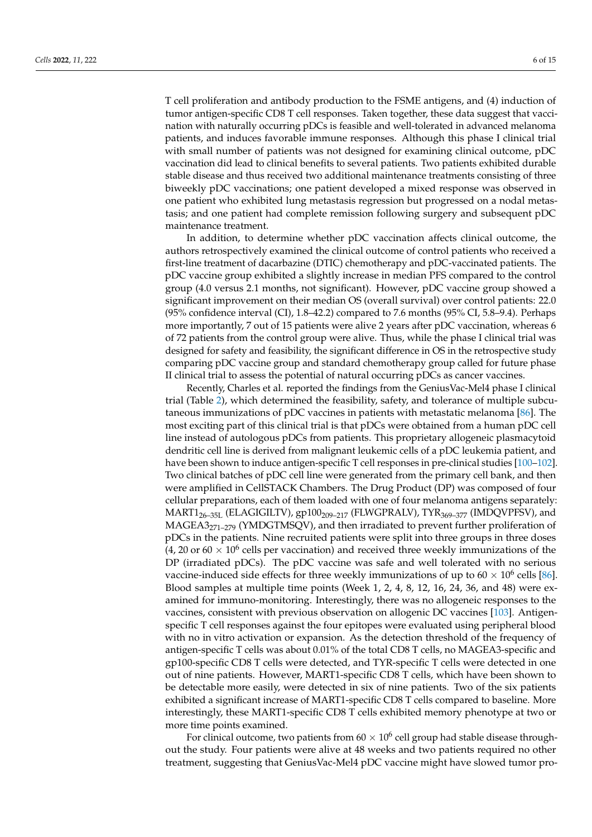T cell proliferation and antibody production to the FSME antigens, and (4) induction of tumor antigen-specific CD8 T cell responses. Taken together, these data suggest that vaccination with naturally occurring pDCs is feasible and well-tolerated in advanced melanoma patients, and induces favorable immune responses. Although this phase I clinical trial with small number of patients was not designed for examining clinical outcome, pDC vaccination did lead to clinical benefits to several patients. Two patients exhibited durable stable disease and thus received two additional maintenance treatments consisting of three biweekly pDC vaccinations; one patient developed a mixed response was observed in one patient who exhibited lung metastasis regression but progressed on a nodal metastasis; and one patient had complete remission following surgery and subsequent pDC maintenance treatment.

In addition, to determine whether pDC vaccination affects clinical outcome, the authors retrospectively examined the clinical outcome of control patients who received a first-line treatment of dacarbazine (DTIC) chemotherapy and pDC-vaccinated patients. The pDC vaccine group exhibited a slightly increase in median PFS compared to the control group (4.0 versus 2.1 months, not significant). However, pDC vaccine group showed a significant improvement on their median OS (overall survival) over control patients: 22.0 (95% confidence interval (CI), 1.8–42.2) compared to 7.6 months (95% CI, 5.8–9.4). Perhaps more importantly, 7 out of 15 patients were alive 2 years after pDC vaccination, whereas 6 of 72 patients from the control group were alive. Thus, while the phase I clinical trial was designed for safety and feasibility, the significant difference in OS in the retrospective study comparing pDC vaccine group and standard chemotherapy group called for future phase II clinical trial to assess the potential of natural occurring pDCs as cancer vaccines.

Recently, Charles et al. reported the findings from the GeniusVac-Mel4 phase I clinical trial (Table [2\)](#page-5-0), which determined the feasibility, safety, and tolerance of multiple subcutaneous immunizations of pDC vaccines in patients with metastatic melanoma [\[86\]](#page-13-14). The most exciting part of this clinical trial is that pDCs were obtained from a human pDC cell line instead of autologous pDCs from patients. This proprietary allogeneic plasmacytoid dendritic cell line is derived from malignant leukemic cells of a pDC leukemia patient, and have been shown to induce antigen-specific T cell responses in pre-clinical studies [\[100](#page-14-7)[–102\]](#page-14-8). Two clinical batches of pDC cell line were generated from the primary cell bank, and then were amplified in CellSTACK Chambers. The Drug Product (DP) was composed of four cellular preparations, each of them loaded with one of four melanoma antigens separately: MART1<sub>26-35L</sub> (ELAGIGILTV), gp100<sub>209-217</sub> (FLWGPRALV), TYR<sub>369-377</sub> (IMDQVPFSV), and  $MAGEA3<sub>271-279</sub>$  (YMDGTMSQV), and then irradiated to prevent further proliferation of pDCs in the patients. Nine recruited patients were split into three groups in three doses (4, 20 or  $60 \times 10^6$  cells per vaccination) and received three weekly immunizations of the DP (irradiated pDCs). The pDC vaccine was safe and well tolerated with no serious vaccine-induced side effects for three weekly immunizations of up to  $60 \times 10^6$  cells [\[86\]](#page-13-14). Blood samples at multiple time points (Week 1, 2, 4, 8, 12, 16, 24, 36, and 48) were examined for immuno-monitoring. Interestingly, there was no allogeneic responses to the vaccines, consistent with previous observation on allogenic DC vaccines [\[103\]](#page-14-9). Antigenspecific T cell responses against the four epitopes were evaluated using peripheral blood with no in vitro activation or expansion. As the detection threshold of the frequency of antigen-specific T cells was about 0.01% of the total CD8 T cells, no MAGEA3-specific and gp100-specific CD8 T cells were detected, and TYR-specific T cells were detected in one out of nine patients. However, MART1-specific CD8 T cells, which have been shown to be detectable more easily, were detected in six of nine patients. Two of the six patients exhibited a significant increase of MART1-specific CD8 T cells compared to baseline. More interestingly, these MART1-specific CD8 T cells exhibited memory phenotype at two or more time points examined.

For clinical outcome, two patients from  $60 \times 10^6$  cell group had stable disease throughout the study. Four patients were alive at 48 weeks and two patients required no other treatment, suggesting that GeniusVac-Mel4 pDC vaccine might have slowed tumor pro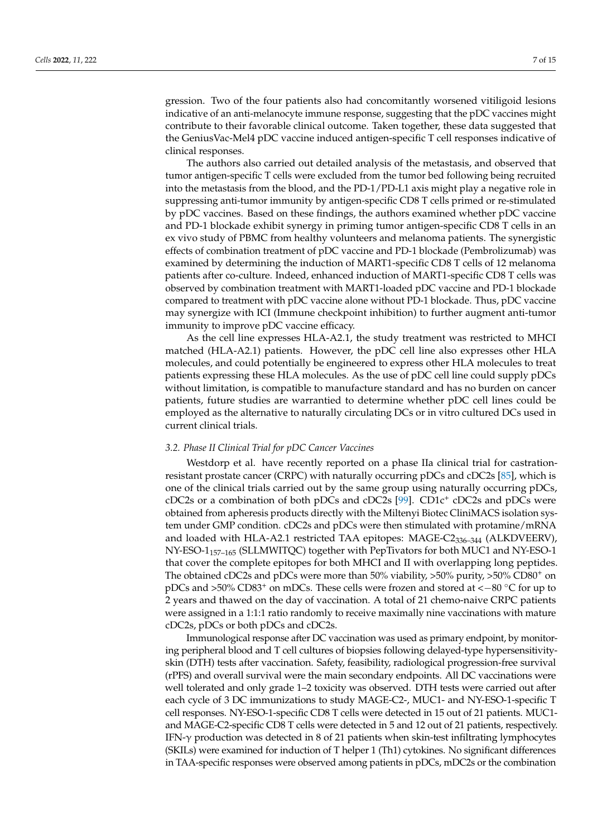gression. Two of the four patients also had concomitantly worsened vitiligoid lesions indicative of an anti-melanocyte immune response, suggesting that the pDC vaccines might contribute to their favorable clinical outcome. Taken together, these data suggested that the GeniusVac-Mel4 pDC vaccine induced antigen-specific T cell responses indicative of clinical responses.

The authors also carried out detailed analysis of the metastasis, and observed that tumor antigen-specific T cells were excluded from the tumor bed following being recruited into the metastasis from the blood, and the PD-1/PD-L1 axis might play a negative role in suppressing anti-tumor immunity by antigen-specific CD8 T cells primed or re-stimulated by pDC vaccines. Based on these findings, the authors examined whether pDC vaccine and PD-1 blockade exhibit synergy in priming tumor antigen-specific CD8 T cells in an ex vivo study of PBMC from healthy volunteers and melanoma patients. The synergistic effects of combination treatment of pDC vaccine and PD-1 blockade (Pembrolizumab) was examined by determining the induction of MART1-specific CD8 T cells of 12 melanoma patients after co-culture. Indeed, enhanced induction of MART1-specific CD8 T cells was observed by combination treatment with MART1-loaded pDC vaccine and PD-1 blockade compared to treatment with pDC vaccine alone without PD-1 blockade. Thus, pDC vaccine may synergize with ICI (Immune checkpoint inhibition) to further augment anti-tumor immunity to improve pDC vaccine efficacy.

As the cell line expresses HLA-A2.1, the study treatment was restricted to MHCI matched (HLA-A2.1) patients. However, the pDC cell line also expresses other HLA molecules, and could potentially be engineered to express other HLA molecules to treat patients expressing these HLA molecules. As the use of pDC cell line could supply pDCs without limitation, is compatible to manufacture standard and has no burden on cancer patients, future studies are warrantied to determine whether pDC cell lines could be employed as the alternative to naturally circulating DCs or in vitro cultured DCs used in current clinical trials.

### *3.2. Phase II Clinical Trial for pDC Cancer Vaccines*

Westdorp et al. have recently reported on a phase IIa clinical trial for castrationresistant prostate cancer (CRPC) with naturally occurring pDCs and cDC2s [\[85\]](#page-13-17), which is one of the clinical trials carried out by the same group using naturally occurring pDCs, cDC2s or a combination of both pDCs and cDC2s [\[99\]](#page-14-6). CD1c<sup>+</sup> cDC2s and pDCs were obtained from apheresis products directly with the Miltenyi Biotec CliniMACS isolation system under GMP condition. cDC2s and pDCs were then stimulated with protamine/mRNA and loaded with HLA-A2.1 restricted TAA epitopes: MAGE-C2336–344 (ALKDVEERV), NY-ESO-1157–165 (SLLMWITQC) together with PepTivators for both MUC1 and NY-ESO-1 that cover the complete epitopes for both MHCI and II with overlapping long peptides. The obtained cDC2s and pDCs were more than 50% viability, >50% purity, >50% CD80<sup>+</sup> on pDCs and >50% CD83<sup>+</sup> on mDCs. These cells were frozen and stored at <−80 ◦C for up to 2 years and thawed on the day of vaccination. A total of 21 chemo-naive CRPC patients were assigned in a 1:1:1 ratio randomly to receive maximally nine vaccinations with mature cDC2s, pDCs or both pDCs and cDC2s.

Immunological response after DC vaccination was used as primary endpoint, by monitoring peripheral blood and T cell cultures of biopsies following delayed-type hypersensitivityskin (DTH) tests after vaccination. Safety, feasibility, radiological progression-free survival (rPFS) and overall survival were the main secondary endpoints. All DC vaccinations were well tolerated and only grade 1–2 toxicity was observed. DTH tests were carried out after each cycle of 3 DC immunizations to study MAGE-C2-, MUC1- and NY-ESO-1-specific T cell responses. NY-ESO-1-specific CD8 T cells were detected in 15 out of 21 patients. MUC1 and MAGE-C2-specific CD8 T cells were detected in 5 and 12 out of 21 patients, respectively. IFN-γ production was detected in 8 of 21 patients when skin-test infiltrating lymphocytes (SKILs) were examined for induction of T helper 1 (Th1) cytokines. No significant differences in TAA-specific responses were observed among patients in pDCs, mDC2s or the combination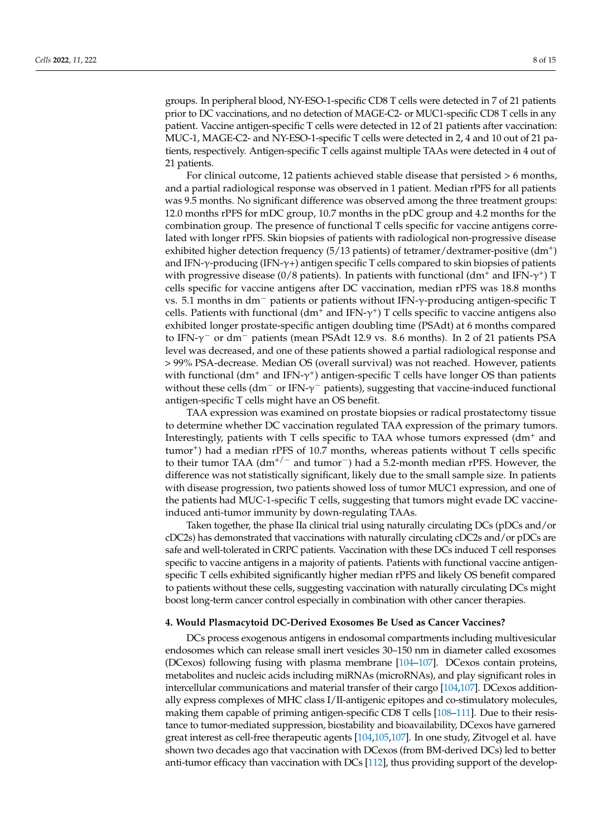groups. In peripheral blood, NY-ESO-1-specific CD8 T cells were detected in 7 of 21 patients prior to DC vaccinations, and no detection of MAGE-C2- or MUC1-specific CD8 T cells in any patient. Vaccine antigen-specific T cells were detected in 12 of 21 patients after vaccination: MUC-1, MAGE-C2- and NY-ESO-1-specific T cells were detected in 2, 4 and 10 out of 21 patients, respectively. Antigen-specific T cells against multiple TAAs were detected in 4 out of 21 patients.

For clinical outcome, 12 patients achieved stable disease that persisted > 6 months, and a partial radiological response was observed in 1 patient. Median rPFS for all patients was 9.5 months. No significant difference was observed among the three treatment groups: 12.0 months rPFS for mDC group, 10.7 months in the pDC group and 4.2 months for the combination group. The presence of functional T cells specific for vaccine antigens correlated with longer rPFS. Skin biopsies of patients with radiological non-progressive disease exhibited higher detection frequency (5/13 patients) of tetramer/dextramer-positive (dm<sup>+</sup>) and IFN-γ-producing (IFN-γ+) antigen specific T cells compared to skin biopsies of patients with progressive disease (0/8 patients). In patients with functional (dm<sup>+</sup> and IFN- $\gamma^+$ ) T cells specific for vaccine antigens after DC vaccination, median rPFS was 18.8 months vs. 5.1 months in dm<sup>−</sup> patients or patients without IFN-γ-producing antigen-specific T cells. Patients with functional  $(dm^+$  and IFN- $\gamma^+$ ) T cells specific to vaccine antigens also exhibited longer prostate-specific antigen doubling time (PSAdt) at 6 months compared to IFN-γ <sup>−</sup> or dm<sup>−</sup> patients (mean PSAdt 12.9 vs. 8.6 months). In 2 of 21 patients PSA level was decreased, and one of these patients showed a partial radiological response and > 99% PSA-decrease. Median OS (overall survival) was not reached. However, patients with functional (dm<sup>+</sup> and IFN- $\gamma^{\text{+}}$ ) antigen-specific T cells have longer OS than patients without these cells (dm<sup>-</sup> or IFN- $\gamma$ <sup>-</sup> patients), suggesting that vaccine-induced functional antigen-specific T cells might have an OS benefit.

TAA expression was examined on prostate biopsies or radical prostatectomy tissue to determine whether DC vaccination regulated TAA expression of the primary tumors. Interestingly, patients with T cells specific to TAA whose tumors expressed  $(dm<sup>+</sup>$  and tumor<sup>+</sup>) had a median rPFS of 10.7 months, whereas patients without T cells specific to their tumor TAA (dm<sup>+/−</sup> and tumor<sup>-</sup>) had a 5.2-month median rPFS. However, the difference was not statistically significant, likely due to the small sample size. In patients with disease progression, two patients showed loss of tumor MUC1 expression, and one of the patients had MUC-1-specific T cells, suggesting that tumors might evade DC vaccineinduced anti-tumor immunity by down-regulating TAAs.

Taken together, the phase IIa clinical trial using naturally circulating DCs (pDCs and/or cDC2s) has demonstrated that vaccinations with naturally circulating cDC2s and/or pDCs are safe and well-tolerated in CRPC patients. Vaccination with these DCs induced T cell responses specific to vaccine antigens in a majority of patients. Patients with functional vaccine antigenspecific T cells exhibited significantly higher median rPFS and likely OS benefit compared to patients without these cells, suggesting vaccination with naturally circulating DCs might boost long-term cancer control especially in combination with other cancer therapies.

### **4. Would Plasmacytoid DC-Derived Exosomes Be Used as Cancer Vaccines?**

DCs process exogenous antigens in endosomal compartments including multivesicular endosomes which can release small inert vesicles 30–150 nm in diameter called exosomes (DCexos) following fusing with plasma membrane [\[104–](#page-14-10)[107\]](#page-14-11). DCexos contain proteins, metabolites and nucleic acids including miRNAs (microRNAs), and play significant roles in intercellular communications and material transfer of their cargo [\[104,](#page-14-10)[107\]](#page-14-11). DCexos additionally express complexes of MHC class I/II-antigenic epitopes and co-stimulatory molecules, making them capable of priming antigen-specific CD8 T cells [\[108](#page-14-12)[–111\]](#page-14-13). Due to their resistance to tumor-mediated suppression, biostability and bioavailability, DCexos have garnered great interest as cell-free therapeutic agents [\[104,](#page-14-10)[105,](#page-14-14)[107\]](#page-14-11). In one study, Zitvogel et al. have shown two decades ago that vaccination with DCexos (from BM-derived DCs) led to better anti-tumor efficacy than vaccination with DCs [\[112\]](#page-14-15), thus providing support of the develop-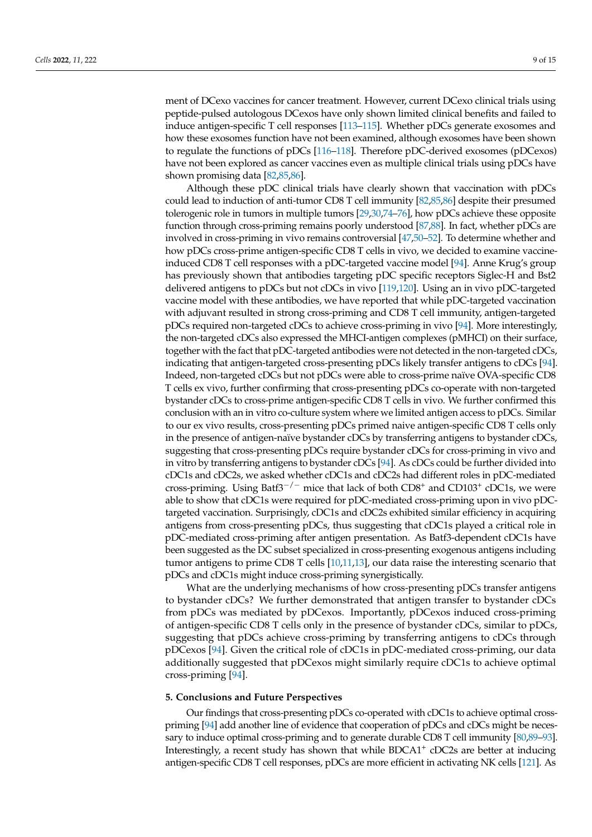ment of DCexo vaccines for cancer treatment. However, current DCexo clinical trials using peptide-pulsed autologous DCexos have only shown limited clinical benefits and failed to induce antigen-specific T cell responses [\[113–](#page-15-0)[115\]](#page-15-1). Whether pDCs generate exosomes and how these exosomes function have not been examined, although exosomes have been shown to regulate the functions of pDCs [\[116](#page-15-2)[–118\]](#page-15-3). Therefore pDC-derived exosomes (pDCexos) have not been explored as cancer vaccines even as multiple clinical trials using pDCs have shown promising data [\[82,](#page-13-16)[85,](#page-13-17)[86\]](#page-13-14).

Although these pDC clinical trials have clearly shown that vaccination with pDCs could lead to induction of anti-tumor CD8 T cell immunity [\[82,](#page-13-16)[85,](#page-13-17)[86\]](#page-13-14) despite their presumed tolerogenic role in tumors in multiple tumors [\[29,](#page-11-11)[30](#page-11-10)[,74–](#page-13-8)[76\]](#page-13-9), how pDCs achieve these opposite function through cross-priming remains poorly understood [\[87](#page-13-15)[,88\]](#page-14-0). In fact, whether pDCs are involved in cross-priming in vivo remains controversial [\[47](#page-12-8)[,50–](#page-12-9)[52\]](#page-12-10). To determine whether and how pDCs cross-prime antigen-specific CD8 T cells in vivo, we decided to examine vaccineinduced CD8 T cell responses with a pDC-targeted vaccine model [\[94\]](#page-14-3). Anne Krug's group has previously shown that antibodies targeting pDC specific receptors Siglec-H and Bst2 delivered antigens to pDCs but not cDCs in vivo [\[119,](#page-15-4)[120\]](#page-15-5). Using an in vivo pDC-targeted vaccine model with these antibodies, we have reported that while pDC-targeted vaccination with adjuvant resulted in strong cross-priming and CD8 T cell immunity, antigen-targeted pDCs required non-targeted cDCs to achieve cross-priming in vivo [\[94\]](#page-14-3). More interestingly, the non-targeted cDCs also expressed the MHCI-antigen complexes (pMHCI) on their surface, together with the fact that pDC-targeted antibodies were not detected in the non-targeted cDCs, indicating that antigen-targeted cross-presenting pDCs likely transfer antigens to cDCs [\[94\]](#page-14-3). Indeed, non-targeted cDCs but not pDCs were able to cross-prime naïve OVA-specific CD8 T cells ex vivo, further confirming that cross-presenting pDCs co-operate with non-targeted bystander cDCs to cross-prime antigen-specific CD8 T cells in vivo. We further confirmed this conclusion with an in vitro co-culture system where we limited antigen access to pDCs. Similar to our ex vivo results, cross-presenting pDCs primed naive antigen-specific CD8 T cells only in the presence of antigen-naïve bystander cDCs by transferring antigens to bystander cDCs, suggesting that cross-presenting pDCs require bystander cDCs for cross-priming in vivo and in vitro by transferring antigens to bystander cDCs [\[94\]](#page-14-3). As cDCs could be further divided into cDC1s and cDC2s, we asked whether cDC1s and cDC2s had different roles in pDC-mediated cross-priming. Using Batf3<sup>-/-</sup> mice that lack of both CD8<sup>+</sup> and CD103<sup>+</sup> cDC1s, we were able to show that cDC1s were required for pDC-mediated cross-priming upon in vivo pDCtargeted vaccination. Surprisingly, cDC1s and cDC2s exhibited similar efficiency in acquiring antigens from cross-presenting pDCs, thus suggesting that cDC1s played a critical role in pDC-mediated cross-priming after antigen presentation. As Batf3-dependent cDC1s have been suggested as the DC subset specialized in cross-presenting exogenous antigens including tumor antigens to prime CD8 T cells [\[10,](#page-10-7)[11](#page-10-8)[,13\]](#page-10-10), our data raise the interesting scenario that pDCs and cDC1s might induce cross-priming synergistically.

What are the underlying mechanisms of how cross-presenting pDCs transfer antigens to bystander cDCs? We further demonstrated that antigen transfer to bystander cDCs from pDCs was mediated by pDCexos. Importantly, pDCexos induced cross-priming of antigen-specific CD8 T cells only in the presence of bystander cDCs, similar to pDCs, suggesting that pDCs achieve cross-priming by transferring antigens to cDCs through pDCexos [\[94\]](#page-14-3). Given the critical role of cDC1s in pDC-mediated cross-priming, our data additionally suggested that pDCexos might similarly require cDC1s to achieve optimal cross-priming [\[94\]](#page-14-3).

### **5. Conclusions and Future Perspectives**

Our findings that cross-presenting pDCs co-operated with cDC1s to achieve optimal crosspriming [\[94\]](#page-14-3) add another line of evidence that cooperation of pDCs and cDCs might be necessary to induce optimal cross-priming and to generate durable CD8 T cell immunity [\[80,](#page-13-13)[89](#page-14-1)[–93\]](#page-14-2). Interestingly, a recent study has shown that while BDCA1<sup>+</sup> cDC2s are better at inducing antigen-specific CD8 T cell responses, pDCs are more efficient in activating NK cells [\[121\]](#page-15-6). As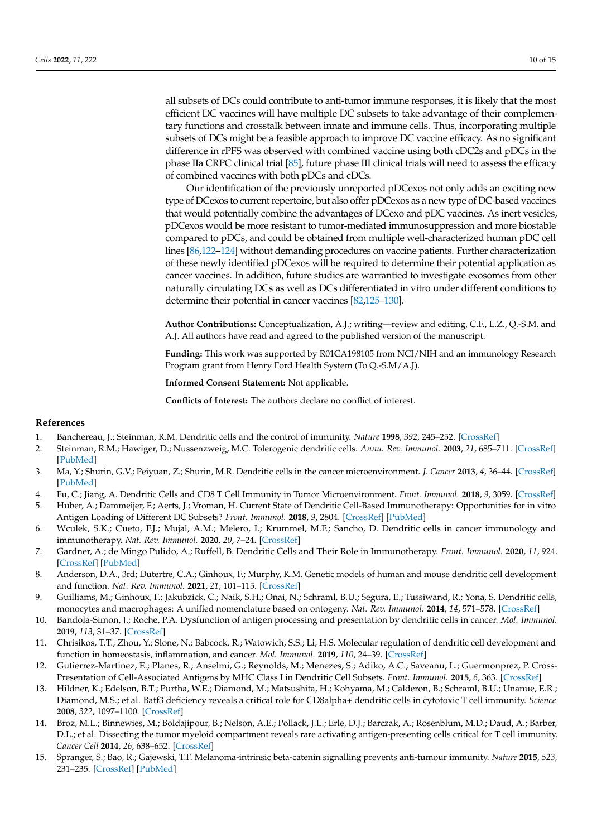all subsets of DCs could contribute to anti-tumor immune responses, it is likely that the most efficient DC vaccines will have multiple DC subsets to take advantage of their complementary functions and crosstalk between innate and immune cells. Thus, incorporating multiple subsets of DCs might be a feasible approach to improve DC vaccine efficacy. As no significant difference in rPFS was observed with combined vaccine using both cDC2s and pDCs in the phase IIa CRPC clinical trial [\[85\]](#page-13-17), future phase III clinical trials will need to assess the efficacy of combined vaccines with both pDCs and cDCs.

Our identification of the previously unreported pDCexos not only adds an exciting new type of DCexos to current repertoire, but also offer pDCexos as a new type of DC-based vaccines that would potentially combine the advantages of DCexo and pDC vaccines. As inert vesicles, pDCexos would be more resistant to tumor-mediated immunosuppression and more biostable compared to pDCs, and could be obtained from multiple well-characterized human pDC cell lines [\[86,](#page-13-14)[122–](#page-15-7)[124\]](#page-15-8) without demanding procedures on vaccine patients. Further characterization of these newly identified pDCexos will be required to determine their potential application as cancer vaccines. In addition, future studies are warrantied to investigate exosomes from other naturally circulating DCs as well as DCs differentiated in vitro under different conditions to determine their potential in cancer vaccines [\[82,](#page-13-16)[125–](#page-15-9)[130\]](#page-15-10).

**Author Contributions:** Conceptualization, A.J.; writing—review and editing, C.F., L.Z., Q.-S.M. and A.J. All authors have read and agreed to the published version of the manuscript.

**Funding:** This work was supported by R01CA198105 from NCI/NIH and an immunology Research Program grant from Henry Ford Health System (To Q.-S.M/A.J).

**Informed Consent Statement:** Not applicable.

**Conflicts of Interest:** The authors declare no conflict of interest.

### **References**

- <span id="page-10-0"></span>1. Banchereau, J.; Steinman, R.M. Dendritic cells and the control of immunity. *Nature* **1998**, *392*, 245–252. [\[CrossRef\]](http://doi.org/10.1038/32588)
- <span id="page-10-1"></span>2. Steinman, R.M.; Hawiger, D.; Nussenzweig, M.C. Tolerogenic dendritic cells. *Annu. Rev. Immunol.* **2003**, *21*, 685–711. [\[CrossRef\]](http://doi.org/10.1146/annurev.immunol.21.120601.141040) [\[PubMed\]](http://www.ncbi.nlm.nih.gov/pubmed/12615891)
- <span id="page-10-2"></span>3. Ma, Y.; Shurin, G.V.; Peiyuan, Z.; Shurin, M.R. Dendritic cells in the cancer microenvironment. *J. Cancer* **2013**, *4*, 36–44. [\[CrossRef\]](http://doi.org/10.7150/jca.5046) [\[PubMed\]](http://www.ncbi.nlm.nih.gov/pubmed/23386903)
- <span id="page-10-3"></span>4. Fu, C.; Jiang, A. Dendritic Cells and CD8 T Cell Immunity in Tumor Microenvironment. *Front. Immunol.* **2018**, *9*, 3059. [\[CrossRef\]](http://doi.org/10.3389/fimmu.2018.03059)
- 5. Huber, A.; Dammeijer, F.; Aerts, J.; Vroman, H. Current State of Dendritic Cell-Based Immunotherapy: Opportunities for in vitro Antigen Loading of Different DC Subsets? *Front. Immunol.* **2018**, *9*, 2804. [\[CrossRef\]](http://doi.org/10.3389/fimmu.2018.02804) [\[PubMed\]](http://www.ncbi.nlm.nih.gov/pubmed/30559743)
- <span id="page-10-6"></span>6. Wculek, S.K.; Cueto, F.J.; Mujal, A.M.; Melero, I.; Krummel, M.F.; Sancho, D. Dendritic cells in cancer immunology and immunotherapy. *Nat. Rev. Immunol.* **2020**, *20*, 7–24. [\[CrossRef\]](http://doi.org/10.1038/s41577-019-0210-z)
- 7. Gardner, A.; de Mingo Pulido, A.; Ruffell, B. Dendritic Cells and Their Role in Immunotherapy. *Front. Immunol.* **2020**, *11*, 924. [\[CrossRef\]](http://doi.org/10.3389/fimmu.2020.00924) [\[PubMed\]](http://www.ncbi.nlm.nih.gov/pubmed/32508825)
- <span id="page-10-4"></span>8. Anderson, D.A., 3rd; Dutertre, C.A.; Ginhoux, F.; Murphy, K.M. Genetic models of human and mouse dendritic cell development and function. *Nat. Rev. Immunol.* **2021**, *21*, 101–115. [\[CrossRef\]](http://doi.org/10.1038/s41577-020-00413-x)
- <span id="page-10-5"></span>9. Guilliams, M.; Ginhoux, F.; Jakubzick, C.; Naik, S.H.; Onai, N.; Schraml, B.U.; Segura, E.; Tussiwand, R.; Yona, S. Dendritic cells, monocytes and macrophages: A unified nomenclature based on ontogeny. *Nat. Rev. Immunol.* **2014**, *14*, 571–578. [\[CrossRef\]](http://doi.org/10.1038/nri3712)
- <span id="page-10-7"></span>10. Bandola-Simon, J.; Roche, P.A. Dysfunction of antigen processing and presentation by dendritic cells in cancer. *Mol. Immunol.* **2019**, *113*, 31–37. [\[CrossRef\]](http://doi.org/10.1016/j.molimm.2018.03.025)
- <span id="page-10-8"></span>11. Chrisikos, T.T.; Zhou, Y.; Slone, N.; Babcock, R.; Watowich, S.S.; Li, H.S. Molecular regulation of dendritic cell development and function in homeostasis, inflammation, and cancer. *Mol. Immunol.* **2019**, *110*, 24–39. [\[CrossRef\]](http://doi.org/10.1016/j.molimm.2018.01.014)
- <span id="page-10-9"></span>12. Gutierrez-Martinez, E.; Planes, R.; Anselmi, G.; Reynolds, M.; Menezes, S.; Adiko, A.C.; Saveanu, L.; Guermonprez, P. Cross-Presentation of Cell-Associated Antigens by MHC Class I in Dendritic Cell Subsets. *Front. Immunol.* **2015**, *6*, 363. [\[CrossRef\]](http://doi.org/10.3389/fimmu.2015.00363)
- <span id="page-10-10"></span>13. Hildner, K.; Edelson, B.T.; Purtha, W.E.; Diamond, M.; Matsushita, H.; Kohyama, M.; Calderon, B.; Schraml, B.U.; Unanue, E.R.; Diamond, M.S.; et al. Batf3 deficiency reveals a critical role for CD8alpha+ dendritic cells in cytotoxic T cell immunity. *Science* **2008**, *322*, 1097–1100. [\[CrossRef\]](http://doi.org/10.1126/science.1164206)
- <span id="page-10-11"></span>14. Broz, M.L.; Binnewies, M.; Boldajipour, B.; Nelson, A.E.; Pollack, J.L.; Erle, D.J.; Barczak, A.; Rosenblum, M.D.; Daud, A.; Barber, D.L.; et al. Dissecting the tumor myeloid compartment reveals rare activating antigen-presenting cells critical for T cell immunity. *Cancer Cell* **2014**, *26*, 638–652. [\[CrossRef\]](http://doi.org/10.1016/j.ccell.2014.09.007)
- 15. Spranger, S.; Bao, R.; Gajewski, T.F. Melanoma-intrinsic beta-catenin signalling prevents anti-tumour immunity. *Nature* **2015**, *523*, 231–235. [\[CrossRef\]](http://doi.org/10.1038/nature14404) [\[PubMed\]](http://www.ncbi.nlm.nih.gov/pubmed/25970248)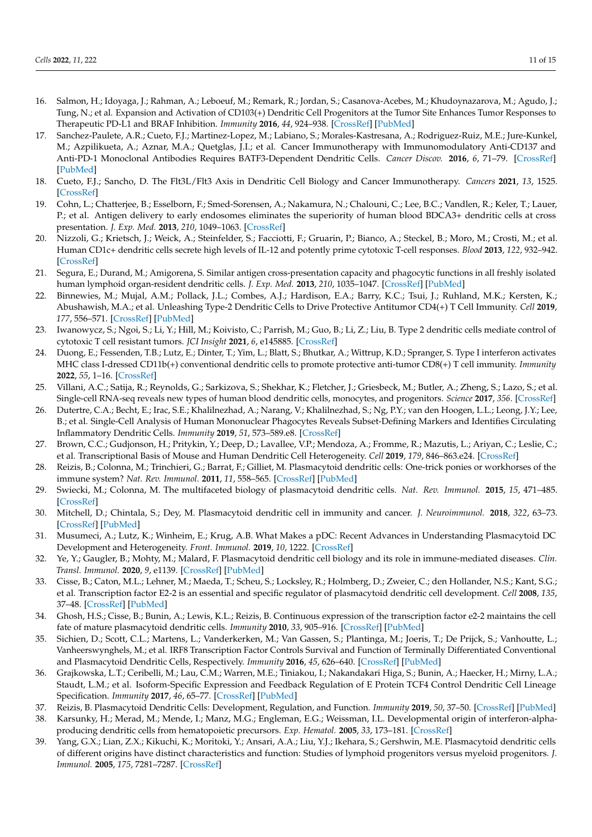- 16. Salmon, H.; Idoyaga, J.; Rahman, A.; Leboeuf, M.; Remark, R.; Jordan, S.; Casanova-Acebes, M.; Khudoynazarova, M.; Agudo, J.; Tung, N.; et al. Expansion and Activation of CD103(+) Dendritic Cell Progenitors at the Tumor Site Enhances Tumor Responses to Therapeutic PD-L1 and BRAF Inhibition. *Immunity* **2016**, *44*, 924–938. [\[CrossRef\]](http://doi.org/10.1016/j.immuni.2016.03.012) [\[PubMed\]](http://www.ncbi.nlm.nih.gov/pubmed/27096321)
- <span id="page-11-0"></span>17. Sanchez-Paulete, A.R.; Cueto, F.J.; Martinez-Lopez, M.; Labiano, S.; Morales-Kastresana, A.; Rodriguez-Ruiz, M.E.; Jure-Kunkel, M.; Azpilikueta, A.; Aznar, M.A.; Quetglas, J.I.; et al. Cancer Immunotherapy with Immunomodulatory Anti-CD137 and Anti-PD-1 Monoclonal Antibodies Requires BATF3-Dependent Dendritic Cells. *Cancer Discov.* **2016**, *6*, 71–79. [\[CrossRef\]](http://doi.org/10.1158/2159-8290.CD-15-0510) [\[PubMed\]](http://www.ncbi.nlm.nih.gov/pubmed/26493961)
- <span id="page-11-1"></span>18. Cueto, F.J.; Sancho, D. The Flt3L/Flt3 Axis in Dendritic Cell Biology and Cancer Immunotherapy. *Cancers* **2021**, *13*, 1525. [\[CrossRef\]](http://doi.org/10.3390/cancers13071525)
- <span id="page-11-2"></span>19. Cohn, L.; Chatterjee, B.; Esselborn, F.; Smed-Sorensen, A.; Nakamura, N.; Chalouni, C.; Lee, B.C.; Vandlen, R.; Keler, T.; Lauer, P.; et al. Antigen delivery to early endosomes eliminates the superiority of human blood BDCA3+ dendritic cells at cross presentation. *J. Exp. Med.* **2013**, *210*, 1049–1063. [\[CrossRef\]](http://doi.org/10.1084/jem.20121251)
- 20. Nizzoli, G.; Krietsch, J.; Weick, A.; Steinfelder, S.; Facciotti, F.; Gruarin, P.; Bianco, A.; Steckel, B.; Moro, M.; Crosti, M.; et al. Human CD1c+ dendritic cells secrete high levels of IL-12 and potently prime cytotoxic T-cell responses. *Blood* **2013**, *122*, 932–942. [\[CrossRef\]](http://doi.org/10.1182/blood-2013-04-495424)
- <span id="page-11-3"></span>21. Segura, E.; Durand, M.; Amigorena, S. Similar antigen cross-presentation capacity and phagocytic functions in all freshly isolated human lymphoid organ-resident dendritic cells. *J. Exp. Med.* **2013**, *210*, 1035–1047. [\[CrossRef\]](http://doi.org/10.1084/jem.20121103) [\[PubMed\]](http://www.ncbi.nlm.nih.gov/pubmed/23569327)
- <span id="page-11-4"></span>22. Binnewies, M.; Mujal, A.M.; Pollack, J.L.; Combes, A.J.; Hardison, E.A.; Barry, K.C.; Tsui, J.; Ruhland, M.K.; Kersten, K.; Abushawish, M.A.; et al. Unleashing Type-2 Dendritic Cells to Drive Protective Antitumor CD4(+) T Cell Immunity. *Cell* **2019**, *177*, 556–571. [\[CrossRef\]](http://doi.org/10.1016/j.cell.2019.02.005) [\[PubMed\]](http://www.ncbi.nlm.nih.gov/pubmed/30955881)
- 23. Iwanowycz, S.; Ngoi, S.; Li, Y.; Hill, M.; Koivisto, C.; Parrish, M.; Guo, B.; Li, Z.; Liu, B. Type 2 dendritic cells mediate control of cytotoxic T cell resistant tumors. *JCI Insight* **2021**, *6*, e145885. [\[CrossRef\]](http://doi.org/10.1172/jci.insight.145885)
- <span id="page-11-5"></span>24. Duong, E.; Fessenden, T.B.; Lutz, E.; Dinter, T.; Yim, L.; Blatt, S.; Bhutkar, A.; Wittrup, K.D.; Spranger, S. Type I interferon activates MHC class I-dressed CD11b(+) conventional dendritic cells to promote protective anti-tumor CD8(+) T cell immunity. *Immunity* **2022**, *55*, 1–16. [\[CrossRef\]](http://doi.org/10.1016/j.immuni.2021.10.020)
- <span id="page-11-6"></span>25. Villani, A.C.; Satija, R.; Reynolds, G.; Sarkizova, S.; Shekhar, K.; Fletcher, J.; Griesbeck, M.; Butler, A.; Zheng, S.; Lazo, S.; et al. Single-cell RNA-seq reveals new types of human blood dendritic cells, monocytes, and progenitors. *Science* **2017**, *356*. [\[CrossRef\]](http://doi.org/10.1126/science.aah4573)
- <span id="page-11-7"></span>26. Dutertre, C.A.; Becht, E.; Irac, S.E.; Khalilnezhad, A.; Narang, V.; Khalilnezhad, S.; Ng, P.Y.; van den Hoogen, L.L.; Leong, J.Y.; Lee, B.; et al. Single-Cell Analysis of Human Mononuclear Phagocytes Reveals Subset-Defining Markers and Identifies Circulating Inflammatory Dendritic Cells. *Immunity* **2019**, *51*, 573–589.e8. [\[CrossRef\]](http://doi.org/10.1016/j.immuni.2019.08.008)
- <span id="page-11-8"></span>27. Brown, C.C.; Gudjonson, H.; Pritykin, Y.; Deep, D.; Lavallee, V.P.; Mendoza, A.; Fromme, R.; Mazutis, L.; Ariyan, C.; Leslie, C.; et al. Transcriptional Basis of Mouse and Human Dendritic Cell Heterogeneity. *Cell* **2019**, *179*, 846–863.e24. [\[CrossRef\]](http://doi.org/10.1016/j.cell.2019.09.035)
- <span id="page-11-9"></span>28. Reizis, B.; Colonna, M.; Trinchieri, G.; Barrat, F.; Gilliet, M. Plasmacytoid dendritic cells: One-trick ponies or workhorses of the immune system? *Nat. Rev. Immunol.* **2011**, *11*, 558–565. [\[CrossRef\]](http://doi.org/10.1038/nri3027) [\[PubMed\]](http://www.ncbi.nlm.nih.gov/pubmed/21779033)
- <span id="page-11-11"></span>29. Swiecki, M.; Colonna, M. The multifaceted biology of plasmacytoid dendritic cells. *Nat. Rev. Immunol.* **2015**, *15*, 471–485. [\[CrossRef\]](http://doi.org/10.1038/nri3865)
- <span id="page-11-10"></span>30. Mitchell, D.; Chintala, S.; Dey, M. Plasmacytoid dendritic cell in immunity and cancer. *J. Neuroimmunol.* **2018**, *322*, 63–73. [\[CrossRef\]](http://doi.org/10.1016/j.jneuroim.2018.06.012) [\[PubMed\]](http://www.ncbi.nlm.nih.gov/pubmed/30049538)
- <span id="page-11-12"></span>31. Musumeci, A.; Lutz, K.; Winheim, E.; Krug, A.B. What Makes a pDC: Recent Advances in Understanding Plasmacytoid DC Development and Heterogeneity. *Front. Immunol.* **2019**, *10*, 1222. [\[CrossRef\]](http://doi.org/10.3389/fimmu.2019.01222)
- <span id="page-11-13"></span>32. Ye, Y.; Gaugler, B.; Mohty, M.; Malard, F. Plasmacytoid dendritic cell biology and its role in immune-mediated diseases. *Clin. Transl. Immunol.* **2020**, *9*, e1139. [\[CrossRef\]](http://doi.org/10.1002/cti2.1139) [\[PubMed\]](http://www.ncbi.nlm.nih.gov/pubmed/32489664)
- <span id="page-11-14"></span>33. Cisse, B.; Caton, M.L.; Lehner, M.; Maeda, T.; Scheu, S.; Locksley, R.; Holmberg, D.; Zweier, C.; den Hollander, N.S.; Kant, S.G.; et al. Transcription factor E2-2 is an essential and specific regulator of plasmacytoid dendritic cell development. *Cell* **2008**, *135*, 37–48. [\[CrossRef\]](http://doi.org/10.1016/j.cell.2008.09.016) [\[PubMed\]](http://www.ncbi.nlm.nih.gov/pubmed/18854153)
- 34. Ghosh, H.S.; Cisse, B.; Bunin, A.; Lewis, K.L.; Reizis, B. Continuous expression of the transcription factor e2-2 maintains the cell fate of mature plasmacytoid dendritic cells. *Immunity* **2010**, *33*, 905–916. [\[CrossRef\]](http://doi.org/10.1016/j.immuni.2010.11.023) [\[PubMed\]](http://www.ncbi.nlm.nih.gov/pubmed/21145760)
- 35. Sichien, D.; Scott, C.L.; Martens, L.; Vanderkerken, M.; Van Gassen, S.; Plantinga, M.; Joeris, T.; De Prijck, S.; Vanhoutte, L.; Vanheerswynghels, M.; et al. IRF8 Transcription Factor Controls Survival and Function of Terminally Differentiated Conventional and Plasmacytoid Dendritic Cells, Respectively. *Immunity* **2016**, *45*, 626–640. [\[CrossRef\]](http://doi.org/10.1016/j.immuni.2016.08.013) [\[PubMed\]](http://www.ncbi.nlm.nih.gov/pubmed/27637148)
- <span id="page-11-15"></span>36. Grajkowska, L.T.; Ceribelli, M.; Lau, C.M.; Warren, M.E.; Tiniakou, I.; Nakandakari Higa, S.; Bunin, A.; Haecker, H.; Mirny, L.A.; Staudt, L.M.; et al. Isoform-Specific Expression and Feedback Regulation of E Protein TCF4 Control Dendritic Cell Lineage Specification. *Immunity* **2017**, *46*, 65–77. [\[CrossRef\]](http://doi.org/10.1016/j.immuni.2016.11.006) [\[PubMed\]](http://www.ncbi.nlm.nih.gov/pubmed/27986456)
- <span id="page-11-16"></span>37. Reizis, B. Plasmacytoid Dendritic Cells: Development, Regulation, and Function. *Immunity* **2019**, *50*, 37–50. [\[CrossRef\]](http://doi.org/10.1016/j.immuni.2018.12.027) [\[PubMed\]](http://www.ncbi.nlm.nih.gov/pubmed/30650380)
- <span id="page-11-17"></span>38. Karsunky, H.; Merad, M.; Mende, I.; Manz, M.G.; Engleman, E.G.; Weissman, I.L. Developmental origin of interferon-alphaproducing dendritic cells from hematopoietic precursors. *Exp. Hematol.* **2005**, *33*, 173–181. [\[CrossRef\]](http://doi.org/10.1016/j.exphem.2004.10.010)
- <span id="page-11-18"></span>39. Yang, G.X.; Lian, Z.X.; Kikuchi, K.; Moritoki, Y.; Ansari, A.A.; Liu, Y.J.; Ikehara, S.; Gershwin, M.E. Plasmacytoid dendritic cells of different origins have distinct characteristics and function: Studies of lymphoid progenitors versus myeloid progenitors. *J. Immunol.* **2005**, *175*, 7281–7287. [\[CrossRef\]](http://doi.org/10.4049/jimmunol.175.11.7281)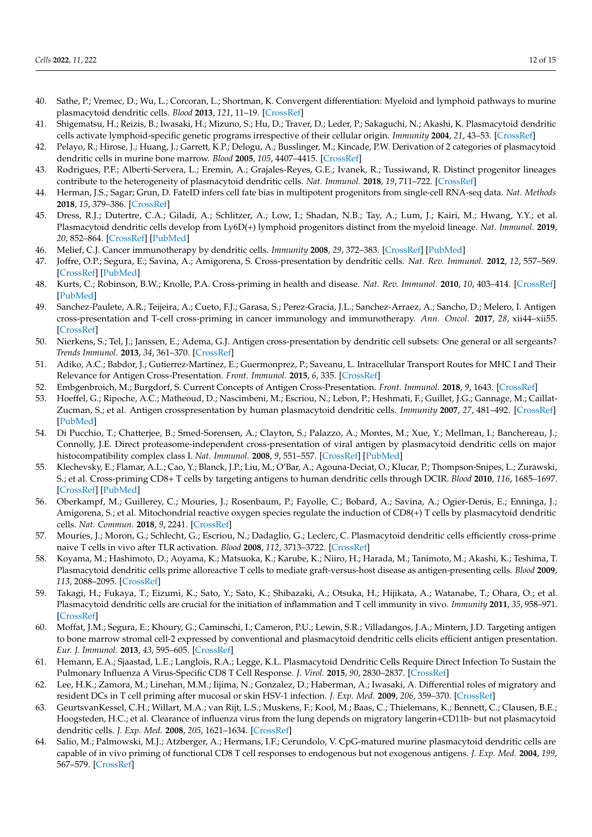- <span id="page-12-0"></span>40. Sathe, P.; Vremec, D.; Wu, L.; Corcoran, L.; Shortman, K. Convergent differentiation: Myeloid and lymphoid pathways to murine plasmacytoid dendritic cells. *Blood* **2013**, *121*, 11–19. [\[CrossRef\]](http://doi.org/10.1182/blood-2012-02-413336)
- <span id="page-12-1"></span>41. Shigematsu, H.; Reizis, B.; Iwasaki, H.; Mizuno, S.; Hu, D.; Traver, D.; Leder, P.; Sakaguchi, N.; Akashi, K. Plasmacytoid dendritic cells activate lymphoid-specific genetic programs irrespective of their cellular origin. *Immunity* **2004**, *21*, 43–53. [\[CrossRef\]](http://doi.org/10.1016/j.immuni.2004.06.011)
- <span id="page-12-2"></span>42. Pelayo, R.; Hirose, J.; Huang, J.; Garrett, K.P.; Delogu, A.; Busslinger, M.; Kincade, P.W. Derivation of 2 categories of plasmacytoid dendritic cells in murine bone marrow. *Blood* **2005**, *105*, 4407–4415. [\[CrossRef\]](http://doi.org/10.1182/blood-2004-07-2529)
- <span id="page-12-3"></span>43. Rodrigues, P.F.; Alberti-Servera, L.; Eremin, A.; Grajales-Reyes, G.E.; Ivanek, R.; Tussiwand, R. Distinct progenitor lineages contribute to the heterogeneity of plasmacytoid dendritic cells. *Nat. Immunol.* **2018**, *19*, 711–722. [\[CrossRef\]](http://doi.org/10.1038/s41590-018-0136-9)
- <span id="page-12-5"></span>44. Herman, J.S.; Sagar; Grun, D. FateID infers cell fate bias in multipotent progenitors from single-cell RNA-seq data. *Nat. Methods* **2018**, *15*, 379–386. [\[CrossRef\]](http://doi.org/10.1038/nmeth.4662)
- <span id="page-12-4"></span>45. Dress, R.J.; Dutertre, C.A.; Giladi, A.; Schlitzer, A.; Low, I.; Shadan, N.B.; Tay, A.; Lum, J.; Kairi, M.; Hwang, Y.Y.; et al. Plasmacytoid dendritic cells develop from Ly6D(+) lymphoid progenitors distinct from the myeloid lineage. *Nat. Immunol.* **2019**, *20*, 852–864. [\[CrossRef\]](http://doi.org/10.1038/s41590-019-0420-3) [\[PubMed\]](http://www.ncbi.nlm.nih.gov/pubmed/31213723)
- <span id="page-12-6"></span>46. Melief, C.J. Cancer immunotherapy by dendritic cells. *Immunity* **2008**, *29*, 372–383. [\[CrossRef\]](http://doi.org/10.1016/j.immuni.2008.08.004) [\[PubMed\]](http://www.ncbi.nlm.nih.gov/pubmed/18799145)
- <span id="page-12-8"></span>47. Joffre, O.P.; Segura, E.; Savina, A.; Amigorena, S. Cross-presentation by dendritic cells. *Nat. Rev. Immunol.* **2012**, *12*, 557–569. [\[CrossRef\]](http://doi.org/10.1038/nri3254) [\[PubMed\]](http://www.ncbi.nlm.nih.gov/pubmed/22790179)
- 48. Kurts, C.; Robinson, B.W.; Knolle, P.A. Cross-priming in health and disease. *Nat. Rev. Immunol.* **2010**, *10*, 403–414. [\[CrossRef\]](http://doi.org/10.1038/nri2780) [\[PubMed\]](http://www.ncbi.nlm.nih.gov/pubmed/20498667)
- <span id="page-12-7"></span>49. Sanchez-Paulete, A.R.; Teijeira, A.; Cueto, F.J.; Garasa, S.; Perez-Gracia, J.L.; Sanchez-Arraez, A.; Sancho, D.; Melero, I. Antigen cross-presentation and T-cell cross-priming in cancer immunology and immunotherapy. *Ann. Oncol.* **2017**, *28*, xii44–xii55. [\[CrossRef\]](http://doi.org/10.1093/annonc/mdx237)
- <span id="page-12-9"></span>50. Nierkens, S.; Tel, J.; Janssen, E.; Adema, G.J. Antigen cross-presentation by dendritic cell subsets: One general or all sergeants? *Trends Immunol.* **2013**, *34*, 361–370. [\[CrossRef\]](http://doi.org/10.1016/j.it.2013.02.007)
- 51. Adiko, A.C.; Babdor, J.; Gutierrez-Martinez, E.; Guermonprez, P.; Saveanu, L. Intracellular Transport Routes for MHC I and Their Relevance for Antigen Cross-Presentation. *Front. Immunol.* **2015**, *6*, 335. [\[CrossRef\]](http://doi.org/10.3389/fimmu.2015.00335)
- <span id="page-12-10"></span>52. Embgenbroich, M.; Burgdorf, S. Current Concepts of Antigen Cross-Presentation. *Front. Immunol.* **2018**, *9*, 1643. [\[CrossRef\]](http://doi.org/10.3389/fimmu.2018.01643)
- <span id="page-12-11"></span>53. Hoeffel, G.; Ripoche, A.C.; Matheoud, D.; Nascimbeni, M.; Escriou, N.; Lebon, P.; Heshmati, F.; Guillet, J.G.; Gannage, M.; Caillat-Zucman, S.; et al. Antigen crosspresentation by human plasmacytoid dendritic cells. *Immunity* **2007**, *27*, 481–492. [\[CrossRef\]](http://doi.org/10.1016/j.immuni.2007.07.021) [\[PubMed\]](http://www.ncbi.nlm.nih.gov/pubmed/17869134)
- 54. Di Pucchio, T.; Chatterjee, B.; Smed-Sorensen, A.; Clayton, S.; Palazzo, A.; Montes, M.; Xue, Y.; Mellman, I.; Banchereau, J.; Connolly, J.E. Direct proteasome-independent cross-presentation of viral antigen by plasmacytoid dendritic cells on major histocompatibility complex class I. *Nat. Immunol.* **2008**, *9*, 551–557. [\[CrossRef\]](http://doi.org/10.1038/ni.1602) [\[PubMed\]](http://www.ncbi.nlm.nih.gov/pubmed/18376401)
- 55. Klechevsky, E.; Flamar, A.L.; Cao, Y.; Blanck, J.P.; Liu, M.; O'Bar, A.; Agouna-Deciat, O.; Klucar, P.; Thompson-Snipes, L.; Zurawski, S.; et al. Cross-priming CD8+ T cells by targeting antigens to human dendritic cells through DCIR. *Blood* **2010**, *116*, 1685–1697. [\[CrossRef\]](http://doi.org/10.1182/blood-2010-01-264960) [\[PubMed\]](http://www.ncbi.nlm.nih.gov/pubmed/20530286)
- <span id="page-12-12"></span>56. Oberkampf, M.; Guillerey, C.; Mouries, J.; Rosenbaum, P.; Fayolle, C.; Bobard, A.; Savina, A.; Ogier-Denis, E.; Enninga, J.; Amigorena, S.; et al. Mitochondrial reactive oxygen species regulate the induction of CD8(+) T cells by plasmacytoid dendritic cells. *Nat. Commun.* **2018**, *9*, 2241. [\[CrossRef\]](http://doi.org/10.1038/s41467-018-04686-8)
- <span id="page-12-13"></span>57. Mouries, J.; Moron, G.; Schlecht, G.; Escriou, N.; Dadaglio, G.; Leclerc, C. Plasmacytoid dendritic cells efficiently cross-prime naive T cells in vivo after TLR activation. *Blood* **2008**, *112*, 3713–3722. [\[CrossRef\]](http://doi.org/10.1182/blood-2008-03-146290)
- 58. Koyama, M.; Hashimoto, D.; Aoyama, K.; Matsuoka, K.; Karube, K.; Niiro, H.; Harada, M.; Tanimoto, M.; Akashi, K.; Teshima, T. Plasmacytoid dendritic cells prime alloreactive T cells to mediate graft-versus-host disease as antigen-presenting cells. *Blood* **2009**, *113*, 2088–2095. [\[CrossRef\]](http://doi.org/10.1182/blood-2008-07-168609)
- 59. Takagi, H.; Fukaya, T.; Eizumi, K.; Sato, Y.; Sato, K.; Shibazaki, A.; Otsuka, H.; Hijikata, A.; Watanabe, T.; Ohara, O.; et al. Plasmacytoid dendritic cells are crucial for the initiation of inflammation and T cell immunity in vivo. *Immunity* **2011**, *35*, 958–971. [\[CrossRef\]](http://doi.org/10.1016/j.immuni.2011.10.014)
- <span id="page-12-14"></span>60. Moffat, J.M.; Segura, E.; Khoury, G.; Caminschi, I.; Cameron, P.U.; Lewin, S.R.; Villadangos, J.A.; Mintern, J.D. Targeting antigen to bone marrow stromal cell-2 expressed by conventional and plasmacytoid dendritic cells elicits efficient antigen presentation. *Eur. J. Immunol.* **2013**, *43*, 595–605. [\[CrossRef\]](http://doi.org/10.1002/eji.201242799)
- <span id="page-12-15"></span>61. Hemann, E.A.; Sjaastad, L.E.; Langlois, R.A.; Legge, K.L. Plasmacytoid Dendritic Cells Require Direct Infection To Sustain the Pulmonary Influenza A Virus-Specific CD8 T Cell Response. *J. Virol.* **2015**, *90*, 2830–2837. [\[CrossRef\]](http://doi.org/10.1128/JVI.02546-15)
- 62. Lee, H.K.; Zamora, M.; Linehan, M.M.; Iijima, N.; Gonzalez, D.; Haberman, A.; Iwasaki, A. Differential roles of migratory and resident DCs in T cell priming after mucosal or skin HSV-1 infection. *J. Exp. Med.* **2009**, *206*, 359–370. [\[CrossRef\]](http://doi.org/10.1084/jem.20080601)
- 63. GeurtsvanKessel, C.H.; Willart, M.A.; van Rijt, L.S.; Muskens, F.; Kool, M.; Baas, C.; Thielemans, K.; Bennett, C.; Clausen, B.E.; Hoogsteden, H.C.; et al. Clearance of influenza virus from the lung depends on migratory langerin+CD11b- but not plasmacytoid dendritic cells. *J. Exp. Med.* **2008**, *205*, 1621–1634. [\[CrossRef\]](http://doi.org/10.1084/jem.20071365)
- <span id="page-12-16"></span>64. Salio, M.; Palmowski, M.J.; Atzberger, A.; Hermans, I.F.; Cerundolo, V. CpG-matured murine plasmacytoid dendritic cells are capable of in vivo priming of functional CD8 T cell responses to endogenous but not exogenous antigens. *J. Exp. Med.* **2004**, *199*, 567–579. [\[CrossRef\]](http://doi.org/10.1084/jem.20031059)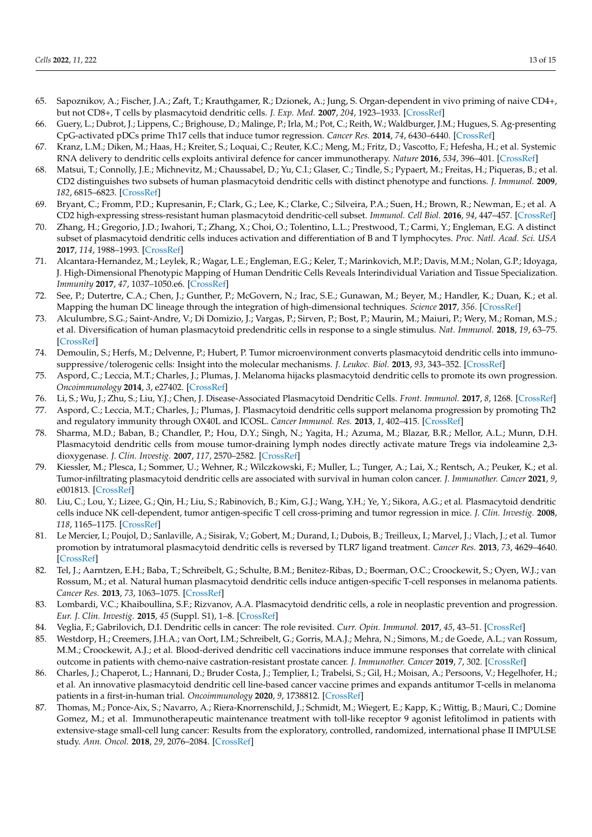- <span id="page-13-0"></span>65. Sapoznikov, A.; Fischer, J.A.; Zaft, T.; Krauthgamer, R.; Dzionek, A.; Jung, S. Organ-dependent in vivo priming of naive CD4+, but not CD8+, T cells by plasmacytoid dendritic cells. *J. Exp. Med.* **2007**, *204*, 1923–1933. [\[CrossRef\]](http://doi.org/10.1084/jem.20062373)
- <span id="page-13-1"></span>66. Guery, L.; Dubrot, J.; Lippens, C.; Brighouse, D.; Malinge, P.; Irla, M.; Pot, C.; Reith, W.; Waldburger, J.M.; Hugues, S. Ag-presenting CpG-activated pDCs prime Th17 cells that induce tumor regression. *Cancer Res.* **2014**, *74*, 6430–6440. [\[CrossRef\]](http://doi.org/10.1158/0008-5472.CAN-14-1149)
- <span id="page-13-2"></span>67. Kranz, L.M.; Diken, M.; Haas, H.; Kreiter, S.; Loquai, C.; Reuter, K.C.; Meng, M.; Fritz, D.; Vascotto, F.; Hefesha, H.; et al. Systemic RNA delivery to dendritic cells exploits antiviral defence for cancer immunotherapy. *Nature* **2016**, *534*, 396–401. [\[CrossRef\]](http://doi.org/10.1038/nature18300)
- <span id="page-13-3"></span>68. Matsui, T.; Connolly, J.E.; Michnevitz, M.; Chaussabel, D.; Yu, C.I.; Glaser, C.; Tindle, S.; Pypaert, M.; Freitas, H.; Piqueras, B.; et al. CD2 distinguishes two subsets of human plasmacytoid dendritic cells with distinct phenotype and functions. *J. Immunol.* **2009**, *182*, 6815–6823. [\[CrossRef\]](http://doi.org/10.4049/jimmunol.0802008)
- 69. Bryant, C.; Fromm, P.D.; Kupresanin, F.; Clark, G.; Lee, K.; Clarke, C.; Silveira, P.A.; Suen, H.; Brown, R.; Newman, E.; et al. A CD2 high-expressing stress-resistant human plasmacytoid dendritic-cell subset. *Immunol. Cell Biol.* **2016**, *94*, 447–457. [\[CrossRef\]](http://doi.org/10.1038/icb.2015.116)
- <span id="page-13-4"></span>70. Zhang, H.; Gregorio, J.D.; Iwahori, T.; Zhang, X.; Choi, O.; Tolentino, L.L.; Prestwood, T.; Carmi, Y.; Engleman, E.G. A distinct subset of plasmacytoid dendritic cells induces activation and differentiation of B and T lymphocytes. *Proc. Natl. Acad. Sci. USA* **2017**, *114*, 1988–1993. [\[CrossRef\]](http://doi.org/10.1073/pnas.1610630114)
- <span id="page-13-5"></span>71. Alcantara-Hernandez, M.; Leylek, R.; Wagar, L.E.; Engleman, E.G.; Keler, T.; Marinkovich, M.P.; Davis, M.M.; Nolan, G.P.; Idoyaga, J. High-Dimensional Phenotypic Mapping of Human Dendritic Cells Reveals Interindividual Variation and Tissue Specialization. *Immunity* **2017**, *47*, 1037–1050.e6. [\[CrossRef\]](http://doi.org/10.1016/j.immuni.2017.11.001)
- <span id="page-13-6"></span>72. See, P.; Dutertre, C.A.; Chen, J.; Gunther, P.; McGovern, N.; Irac, S.E.; Gunawan, M.; Beyer, M.; Handler, K.; Duan, K.; et al. Mapping the human DC lineage through the integration of high-dimensional techniques. *Science* **2017**, *356*. [\[CrossRef\]](http://doi.org/10.1126/science.aag3009)
- <span id="page-13-7"></span>73. Alculumbre, S.G.; Saint-Andre, V.; Di Domizio, J.; Vargas, P.; Sirven, P.; Bost, P.; Maurin, M.; Maiuri, P.; Wery, M.; Roman, M.S.; et al. Diversification of human plasmacytoid predendritic cells in response to a single stimulus. *Nat. Immunol.* **2018**, *19*, 63–75. [\[CrossRef\]](http://doi.org/10.1038/s41590-017-0012-z)
- <span id="page-13-8"></span>74. Demoulin, S.; Herfs, M.; Delvenne, P.; Hubert, P. Tumor microenvironment converts plasmacytoid dendritic cells into immunosuppressive/tolerogenic cells: Insight into the molecular mechanisms. *J. Leukoc. Biol.* **2013**, *93*, 343–352. [\[CrossRef\]](http://doi.org/10.1189/jlb.0812397)
- 75. Aspord, C.; Leccia, M.T.; Charles, J.; Plumas, J. Melanoma hijacks plasmacytoid dendritic cells to promote its own progression. *Oncoimmunology* **2014**, *3*, e27402. [\[CrossRef\]](http://doi.org/10.4161/onci.27402)
- <span id="page-13-9"></span>76. Li, S.; Wu, J.; Zhu, S.; Liu, Y.J.; Chen, J. Disease-Associated Plasmacytoid Dendritic Cells. *Front. Immunol.* **2017**, *8*, 1268. [\[CrossRef\]](http://doi.org/10.3389/fimmu.2017.01268)
- <span id="page-13-10"></span>77. Aspord, C.; Leccia, M.T.; Charles, J.; Plumas, J. Plasmacytoid dendritic cells support melanoma progression by promoting Th2 and regulatory immunity through OX40L and ICOSL. *Cancer Immunol. Res.* **2013**, *1*, 402–415. [\[CrossRef\]](http://doi.org/10.1158/2326-6066.CIR-13-0114-T)
- <span id="page-13-11"></span>78. Sharma, M.D.; Baban, B.; Chandler, P.; Hou, D.Y.; Singh, N.; Yagita, H.; Azuma, M.; Blazar, B.R.; Mellor, A.L.; Munn, D.H. Plasmacytoid dendritic cells from mouse tumor-draining lymph nodes directly activate mature Tregs via indoleamine 2,3 dioxygenase. *J. Clin. Investig.* **2007**, *117*, 2570–2582. [\[CrossRef\]](http://doi.org/10.1172/JCI31911)
- <span id="page-13-12"></span>79. Kiessler, M.; Plesca, I.; Sommer, U.; Wehner, R.; Wilczkowski, F.; Muller, L.; Tunger, A.; Lai, X.; Rentsch, A.; Peuker, K.; et al. Tumor-infiltrating plasmacytoid dendritic cells are associated with survival in human colon cancer. *J. Immunother. Cancer* **2021**, *9*, e001813. [\[CrossRef\]](http://doi.org/10.1136/jitc-2020-001813)
- <span id="page-13-13"></span>80. Liu, C.; Lou, Y.; Lizee, G.; Qin, H.; Liu, S.; Rabinovich, B.; Kim, G.J.; Wang, Y.H.; Ye, Y.; Sikora, A.G.; et al. Plasmacytoid dendritic cells induce NK cell-dependent, tumor antigen-specific T cell cross-priming and tumor regression in mice. *J. Clin. Investig.* **2008**, *118*, 1165–1175. [\[CrossRef\]](http://doi.org/10.1172/JCI33583)
- 81. Le Mercier, I.; Poujol, D.; Sanlaville, A.; Sisirak, V.; Gobert, M.; Durand, I.; Dubois, B.; Treilleux, I.; Marvel, J.; Vlach, J.; et al. Tumor promotion by intratumoral plasmacytoid dendritic cells is reversed by TLR7 ligand treatment. *Cancer Res.* **2013**, *73*, 4629–4640. [\[CrossRef\]](http://doi.org/10.1158/0008-5472.CAN-12-3058)
- <span id="page-13-16"></span>82. Tel, J.; Aarntzen, E.H.; Baba, T.; Schreibelt, G.; Schulte, B.M.; Benitez-Ribas, D.; Boerman, O.C.; Croockewit, S.; Oyen, W.J.; van Rossum, M.; et al. Natural human plasmacytoid dendritic cells induce antigen-specific T-cell responses in melanoma patients. *Cancer Res.* **2013**, *73*, 1063–1075. [\[CrossRef\]](http://doi.org/10.1158/0008-5472.CAN-12-2583)
- 83. Lombardi, V.C.; Khaiboullina, S.F.; Rizvanov, A.A. Plasmacytoid dendritic cells, a role in neoplastic prevention and progression. *Eur. J. Clin. Investig.* **2015**, *45* (Suppl. S1), 1–8. [\[CrossRef\]](http://doi.org/10.1111/eci.12363)
- 84. Veglia, F.; Gabrilovich, D.I. Dendritic cells in cancer: The role revisited. *Curr. Opin. Immunol.* **2017**, *45*, 43–51. [\[CrossRef\]](http://doi.org/10.1016/j.coi.2017.01.002)
- <span id="page-13-17"></span>85. Westdorp, H.; Creemers, J.H.A.; van Oort, I.M.; Schreibelt, G.; Gorris, M.A.J.; Mehra, N.; Simons, M.; de Goede, A.L.; van Rossum, M.M.; Croockewit, A.J.; et al. Blood-derived dendritic cell vaccinations induce immune responses that correlate with clinical outcome in patients with chemo-naive castration-resistant prostate cancer. *J. Immunother. Cancer* **2019**, *7*, 302. [\[CrossRef\]](http://doi.org/10.1186/s40425-019-0787-6)
- <span id="page-13-14"></span>86. Charles, J.; Chaperot, L.; Hannani, D.; Bruder Costa, J.; Templier, I.; Trabelsi, S.; Gil, H.; Moisan, A.; Persoons, V.; Hegelhofer, H.; et al. An innovative plasmacytoid dendritic cell line-based cancer vaccine primes and expands antitumor T-cells in melanoma patients in a first-in-human trial. *Oncoimmunology* **2020**, *9*, 1738812. [\[CrossRef\]](http://doi.org/10.1080/2162402X.2020.1738812)
- <span id="page-13-15"></span>87. Thomas, M.; Ponce-Aix, S.; Navarro, A.; Riera-Knorrenschild, J.; Schmidt, M.; Wiegert, E.; Kapp, K.; Wittig, B.; Mauri, C.; Domine Gomez, M.; et al. Immunotherapeutic maintenance treatment with toll-like receptor 9 agonist lefitolimod in patients with extensive-stage small-cell lung cancer: Results from the exploratory, controlled, randomized, international phase II IMPULSE study. *Ann. Oncol.* **2018**, *29*, 2076–2084. [\[CrossRef\]](http://doi.org/10.1093/annonc/mdy326)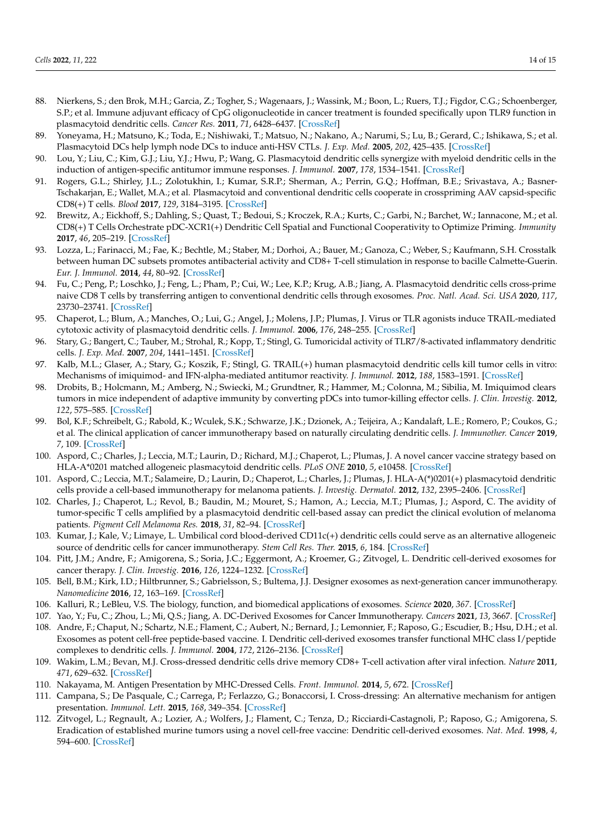- <span id="page-14-0"></span>88. Nierkens, S.; den Brok, M.H.; Garcia, Z.; Togher, S.; Wagenaars, J.; Wassink, M.; Boon, L.; Ruers, T.J.; Figdor, C.G.; Schoenberger, S.P.; et al. Immune adjuvant efficacy of CpG oligonucleotide in cancer treatment is founded specifically upon TLR9 function in plasmacytoid dendritic cells. *Cancer Res.* **2011**, *71*, 6428–6437. [\[CrossRef\]](http://doi.org/10.1158/0008-5472.CAN-11-2154)
- <span id="page-14-1"></span>89. Yoneyama, H.; Matsuno, K.; Toda, E.; Nishiwaki, T.; Matsuo, N.; Nakano, A.; Narumi, S.; Lu, B.; Gerard, C.; Ishikawa, S.; et al. Plasmacytoid DCs help lymph node DCs to induce anti-HSV CTLs. *J. Exp. Med.* **2005**, *202*, 425–435. [\[CrossRef\]](http://doi.org/10.1084/jem.20041961)
- 90. Lou, Y.; Liu, C.; Kim, G.J.; Liu, Y.J.; Hwu, P.; Wang, G. Plasmacytoid dendritic cells synergize with myeloid dendritic cells in the induction of antigen-specific antitumor immune responses. *J. Immunol.* **2007**, *178*, 1534–1541. [\[CrossRef\]](http://doi.org/10.4049/jimmunol.178.3.1534)
- 91. Rogers, G.L.; Shirley, J.L.; Zolotukhin, I.; Kumar, S.R.P.; Sherman, A.; Perrin, G.Q.; Hoffman, B.E.; Srivastava, A.; Basner-Tschakarjan, E.; Wallet, M.A.; et al. Plasmacytoid and conventional dendritic cells cooperate in crosspriming AAV capsid-specific CD8(+) T cells. *Blood* **2017**, *129*, 3184–3195. [\[CrossRef\]](http://doi.org/10.1182/blood-2016-11-751040)
- 92. Brewitz, A.; Eickhoff, S.; Dahling, S.; Quast, T.; Bedoui, S.; Kroczek, R.A.; Kurts, C.; Garbi, N.; Barchet, W.; Iannacone, M.; et al. CD8(+) T Cells Orchestrate pDC-XCR1(+) Dendritic Cell Spatial and Functional Cooperativity to Optimize Priming. *Immunity* **2017**, *46*, 205–219. [\[CrossRef\]](http://doi.org/10.1016/j.immuni.2017.01.003)
- <span id="page-14-2"></span>93. Lozza, L.; Farinacci, M.; Fae, K.; Bechtle, M.; Staber, M.; Dorhoi, A.; Bauer, M.; Ganoza, C.; Weber, S.; Kaufmann, S.H. Crosstalk between human DC subsets promotes antibacterial activity and CD8+ T-cell stimulation in response to bacille Calmette-Guerin. *Eur. J. Immunol.* **2014**, *44*, 80–92. [\[CrossRef\]](http://doi.org/10.1002/eji.201343797)
- <span id="page-14-3"></span>94. Fu, C.; Peng, P.; Loschko, J.; Feng, L.; Pham, P.; Cui, W.; Lee, K.P.; Krug, A.B.; Jiang, A. Plasmacytoid dendritic cells cross-prime naive CD8 T cells by transferring antigen to conventional dendritic cells through exosomes. *Proc. Natl. Acad. Sci. USA* **2020**, *117*, 23730–23741. [\[CrossRef\]](http://doi.org/10.1073/pnas.2002345117)
- <span id="page-14-4"></span>95. Chaperot, L.; Blum, A.; Manches, O.; Lui, G.; Angel, J.; Molens, J.P.; Plumas, J. Virus or TLR agonists induce TRAIL-mediated cytotoxic activity of plasmacytoid dendritic cells. *J. Immunol.* **2006**, *176*, 248–255. [\[CrossRef\]](http://doi.org/10.4049/jimmunol.176.1.248)
- 96. Stary, G.; Bangert, C.; Tauber, M.; Strohal, R.; Kopp, T.; Stingl, G. Tumoricidal activity of TLR7/8-activated inflammatory dendritic cells. *J. Exp. Med.* **2007**, *204*, 1441–1451. [\[CrossRef\]](http://doi.org/10.1084/jem.20070021)
- 97. Kalb, M.L.; Glaser, A.; Stary, G.; Koszik, F.; Stingl, G. TRAIL(+) human plasmacytoid dendritic cells kill tumor cells in vitro: Mechanisms of imiquimod- and IFN-alpha-mediated antitumor reactivity. *J. Immunol.* **2012**, *188*, 1583–1591. [\[CrossRef\]](http://doi.org/10.4049/jimmunol.1102437)
- <span id="page-14-5"></span>98. Drobits, B.; Holcmann, M.; Amberg, N.; Swiecki, M.; Grundtner, R.; Hammer, M.; Colonna, M.; Sibilia, M. Imiquimod clears tumors in mice independent of adaptive immunity by converting pDCs into tumor-killing effector cells. *J. Clin. Investig.* **2012**, *122*, 575–585. [\[CrossRef\]](http://doi.org/10.1172/JCI61034)
- <span id="page-14-6"></span>99. Bol, K.F.; Schreibelt, G.; Rabold, K.; Wculek, S.K.; Schwarze, J.K.; Dzionek, A.; Teijeira, A.; Kandalaft, L.E.; Romero, P.; Coukos, G.; et al. The clinical application of cancer immunotherapy based on naturally circulating dendritic cells. *J. Immunother. Cancer* **2019**, *7*, 109. [\[CrossRef\]](http://doi.org/10.1186/s40425-019-0580-6)
- <span id="page-14-7"></span>100. Aspord, C.; Charles, J.; Leccia, M.T.; Laurin, D.; Richard, M.J.; Chaperot, L.; Plumas, J. A novel cancer vaccine strategy based on HLA-A\*0201 matched allogeneic plasmacytoid dendritic cells. *PLoS ONE* **2010**, *5*, e10458. [\[CrossRef\]](http://doi.org/10.1371/journal.pone.0010458)
- 101. Aspord, C.; Leccia, M.T.; Salameire, D.; Laurin, D.; Chaperot, L.; Charles, J.; Plumas, J. HLA-A(\*)0201(+) plasmacytoid dendritic cells provide a cell-based immunotherapy for melanoma patients. *J. Investig. Dermatol.* **2012**, *132*, 2395–2406. [\[CrossRef\]](http://doi.org/10.1038/jid.2012.152)
- <span id="page-14-8"></span>102. Charles, J.; Chaperot, L.; Revol, B.; Baudin, M.; Mouret, S.; Hamon, A.; Leccia, M.T.; Plumas, J.; Aspord, C. The avidity of tumor-specific T cells amplified by a plasmacytoid dendritic cell-based assay can predict the clinical evolution of melanoma patients. *Pigment Cell Melanoma Res.* **2018**, *31*, 82–94. [\[CrossRef\]](http://doi.org/10.1111/pcmr.12618)
- <span id="page-14-9"></span>103. Kumar, J.; Kale, V.; Limaye, L. Umbilical cord blood-derived CD11c(+) dendritic cells could serve as an alternative allogeneic source of dendritic cells for cancer immunotherapy. *Stem Cell Res. Ther.* **2015**, *6*, 184. [\[CrossRef\]](http://doi.org/10.1186/s13287-015-0160-8)
- <span id="page-14-10"></span>104. Pitt, J.M.; Andre, F.; Amigorena, S.; Soria, J.C.; Eggermont, A.; Kroemer, G.; Zitvogel, L. Dendritic cell-derived exosomes for cancer therapy. *J. Clin. Investig.* **2016**, *126*, 1224–1232. [\[CrossRef\]](http://doi.org/10.1172/JCI81137)
- <span id="page-14-14"></span>105. Bell, B.M.; Kirk, I.D.; Hiltbrunner, S.; Gabrielsson, S.; Bultema, J.J. Designer exosomes as next-generation cancer immunotherapy. *Nanomedicine* **2016**, *12*, 163–169. [\[CrossRef\]](http://doi.org/10.1016/j.nano.2015.09.011)
- 106. Kalluri, R.; LeBleu, V.S. The biology, function, and biomedical applications of exosomes. *Science* **2020**, *367*. [\[CrossRef\]](http://doi.org/10.1126/science.aau6977)
- <span id="page-14-11"></span>107. Yao, Y.; Fu, C.; Zhou, L.; Mi, Q.S.; Jiang, A. DC-Derived Exosomes for Cancer Immunotherapy. *Cancers* **2021**, *13*, 3667. [\[CrossRef\]](http://doi.org/10.3390/cancers13153667)
- <span id="page-14-12"></span>108. Andre, F.; Chaput, N.; Schartz, N.E.; Flament, C.; Aubert, N.; Bernard, J.; Lemonnier, F.; Raposo, G.; Escudier, B.; Hsu, D.H.; et al. Exosomes as potent cell-free peptide-based vaccine. I. Dendritic cell-derived exosomes transfer functional MHC class I/peptide complexes to dendritic cells. *J. Immunol.* **2004**, *172*, 2126–2136. [\[CrossRef\]](http://doi.org/10.4049/jimmunol.172.4.2126)
- 109. Wakim, L.M.; Bevan, M.J. Cross-dressed dendritic cells drive memory CD8+ T-cell activation after viral infection. *Nature* **2011**, *471*, 629–632. [\[CrossRef\]](http://doi.org/10.1038/nature09863)
- 110. Nakayama, M. Antigen Presentation by MHC-Dressed Cells. *Front. Immunol.* **2014**, *5*, 672. [\[CrossRef\]](http://doi.org/10.3389/fimmu.2014.00672)
- <span id="page-14-13"></span>111. Campana, S.; De Pasquale, C.; Carrega, P.; Ferlazzo, G.; Bonaccorsi, I. Cross-dressing: An alternative mechanism for antigen presentation. *Immunol. Lett.* **2015**, *168*, 349–354. [\[CrossRef\]](http://doi.org/10.1016/j.imlet.2015.11.002)
- <span id="page-14-15"></span>112. Zitvogel, L.; Regnault, A.; Lozier, A.; Wolfers, J.; Flament, C.; Tenza, D.; Ricciardi-Castagnoli, P.; Raposo, G.; Amigorena, S. Eradication of established murine tumors using a novel cell-free vaccine: Dendritic cell-derived exosomes. *Nat. Med.* **1998**, *4*, 594–600. [\[CrossRef\]](http://doi.org/10.1038/nm0598-594)